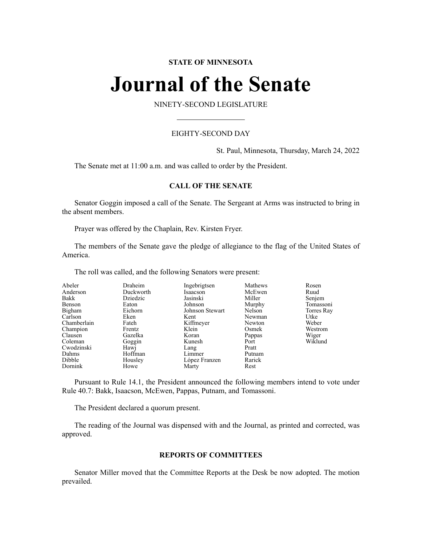# **STATE OF MINNESOTA**

# **Journal of the Senate**

NINETY-SECOND LEGISLATURE

# EIGHTY-SECOND DAY

St. Paul, Minnesota, Thursday, March 24, 2022

The Senate met at 11:00 a.m. and was called to order by the President.

# **CALL OF THE SENATE**

Senator Goggin imposed a call of the Senate. The Sergeant at Arms was instructed to bring in the absent members.

Prayer was offered by the Chaplain, Rev. Kirsten Fryer.

The members of the Senate gave the pledge of allegiance to the flag of the United States of America.

The roll was called, and the following Senators were present:

| Abeler      | Draheim   | Ingebrigtsen    | Mathews | Rosen      |
|-------------|-----------|-----------------|---------|------------|
| Anderson    | Duckworth | Isaacson        | McEwen  | Ruud       |
| Bakk        | Dziedzic  | Jasinski        | Miller  | Senjem     |
| Benson      | Eaton     | Johnson         | Murphy  | Tomassoni  |
| Bigham      | Eichorn   | Johnson Stewart | Nelson  | Torres Ray |
| Carlson     | Eken      | Kent            | Newman  | Utke       |
| Chamberlain | Fateh     | Kiffmeyer       | Newton  | Weber      |
| Champion    | Frentz    | Klein           | Osmek   | Westrom    |
| Clausen     | Gazelka   | Koran           | Pappas  | Wiger      |
| Coleman     | Goggin    | Kunesh          | Port    | Wiklund    |
| Cwodzinski  | Hawj      | Lang            | Pratt   |            |
| Dahms       | Hoffman   | Limmer          | Putnam  |            |
| Dibble      | Housley   | López Franzen   | Rarick  |            |
| Dornink     | Howe      | Marty           | Rest    |            |

Pursuant to Rule 14.1, the President announced the following members intend to vote under Rule 40.7: Bakk, Isaacson, McEwen, Pappas, Putnam, and Tomassoni.

The President declared a quorum present.

The reading of the Journal was dispensed with and the Journal, as printed and corrected, was approved.

# **REPORTS OF COMMITTEES**

Senator Miller moved that the Committee Reports at the Desk be now adopted. The motion prevailed.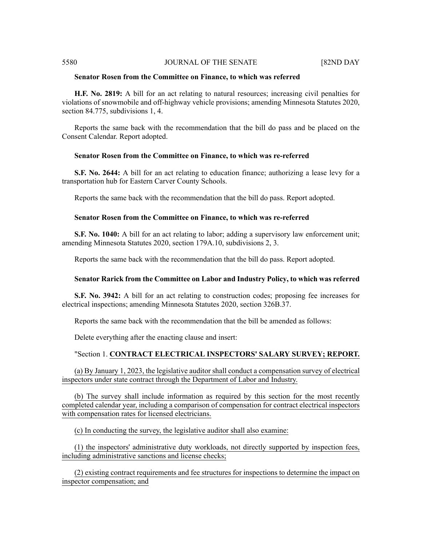# **Senator Rosen from the Committee on Finance, to which was referred**

**H.F. No. 2819:** A bill for an act relating to natural resources; increasing civil penalties for violations of snowmobile and off-highway vehicle provisions; amending Minnesota Statutes 2020, section 84.775, subdivisions 1, 4.

Reports the same back with the recommendation that the bill do pass and be placed on the Consent Calendar. Report adopted.

# **Senator Rosen from the Committee on Finance, to which was re-referred**

**S.F. No. 2644:** A bill for an act relating to education finance; authorizing a lease levy for a transportation hub for Eastern Carver County Schools.

Reports the same back with the recommendation that the bill do pass. Report adopted.

# **Senator Rosen from the Committee on Finance, to which was re-referred**

**S.F. No. 1040:** A bill for an act relating to labor; adding a supervisory law enforcement unit; amending Minnesota Statutes 2020, section 179A.10, subdivisions 2, 3.

Reports the same back with the recommendation that the bill do pass. Report adopted.

# **Senator Rarick from the Committee on Labor and Industry Policy, to which was referred**

**S.F. No. 3942:** A bill for an act relating to construction codes; proposing fee increases for electrical inspections; amending Minnesota Statutes 2020, section 326B.37.

Reports the same back with the recommendation that the bill be amended as follows:

Delete everything after the enacting clause and insert:

# "Section 1. **CONTRACT ELECTRICAL INSPECTORS' SALARY SURVEY; REPORT.**

(a) By January 1, 2023, the legislative auditor shall conduct a compensation survey of electrical inspectors under state contract through the Department of Labor and Industry.

(b) The survey shall include information as required by this section for the most recently completed calendar year, including a comparison of compensation for contract electrical inspectors with compensation rates for licensed electricians.

(c) In conducting the survey, the legislative auditor shall also examine:

(1) the inspectors' administrative duty workloads, not directly supported by inspection fees, including administrative sanctions and license checks;

(2) existing contract requirements and fee structures for inspections to determine the impact on inspector compensation; and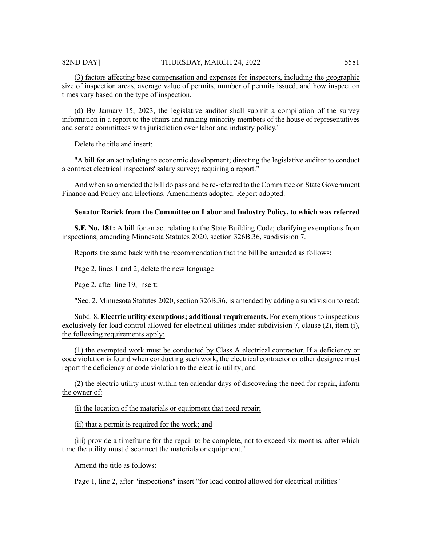(3) factors affecting base compensation and expenses for inspectors, including the geographic size of inspection areas, average value of permits, number of permits issued, and how inspection times vary based on the type of inspection.

(d) By January 15, 2023, the legislative auditor shall submit a compilation of the survey information in a report to the chairs and ranking minority members of the house of representatives and senate committees with jurisdiction over labor and industry policy."

Delete the title and insert:

"A bill for an act relating to economic development; directing the legislative auditor to conduct a contract electrical inspectors' salary survey; requiring a report."

And when so amended the bill do pass and be re-referred to the Committee on State Government Finance and Policy and Elections. Amendments adopted. Report adopted.

# **Senator Rarick from the Committee on Labor and Industry Policy, to which was referred**

**S.F. No. 181:** A bill for an act relating to the State Building Code; clarifying exemptions from inspections; amending Minnesota Statutes 2020, section 326B.36, subdivision 7.

Reports the same back with the recommendation that the bill be amended as follows:

Page 2, lines 1 and 2, delete the new language

Page 2, after line 19, insert:

"Sec. 2. Minnesota Statutes 2020, section 326B.36, is amended by adding a subdivision to read:

Subd. 8. **Electric utility exemptions; additional requirements.** For exemptions to inspections exclusively for load control allowed for electrical utilities under subdivision 7, clause (2), item (i), the following requirements apply:

(1) the exempted work must be conducted by Class A electrical contractor. If a deficiency or code violation is found when conducting such work, the electrical contractor or other designee must report the deficiency or code violation to the electric utility; and

(2) the electric utility must within ten calendar days of discovering the need for repair, inform the owner of:

(i) the location of the materials or equipment that need repair;

(ii) that a permit is required for the work; and

(iii) provide a timeframe for the repair to be complete, not to exceed six months, after which time the utility must disconnect the materials or equipment."

Amend the title as follows:

Page 1, line 2, after "inspections" insert "for load control allowed for electrical utilities"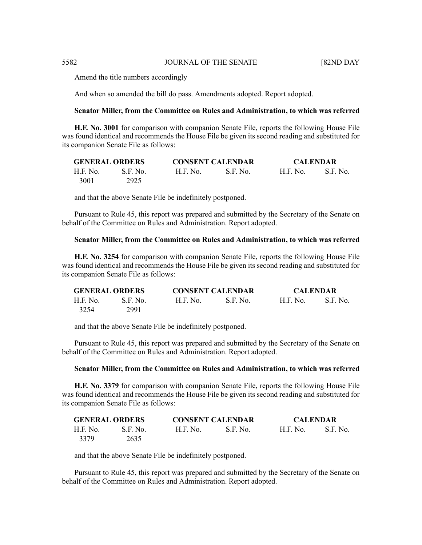Amend the title numbers accordingly

And when so amended the bill do pass. Amendments adopted. Report adopted.

#### **Senator Miller, from the Committee on Rules and Administration, to which was referred**

**H.F. No. 3001** for comparison with companion Senate File, reports the following House File was found identical and recommends the House File be given its second reading and substituted for its companion Senate File as follows:

| <b>GENERAL ORDERS</b> |          | <b>CONSENT CALENDAR</b> |            | <b>CALENDAR</b> |          |
|-----------------------|----------|-------------------------|------------|-----------------|----------|
| H.F. No.              | S.F. No. | H.F. No.                | - S.F. No. | - H.F. No.      | S.F. No. |
| 3001                  | 2925     |                         |            |                 |          |

and that the above Senate File be indefinitely postponed.

Pursuant to Rule 45, this report was prepared and submitted by the Secretary of the Senate on behalf of the Committee on Rules and Administration. Report adopted.

### **Senator Miller, from the Committee on Rules and Administration, to which was referred**

**H.F. No. 3254** for comparison with companion Senate File, reports the following House File was found identical and recommends the House File be given its second reading and substituted for its companion Senate File as follows:

| <b>GENERAL ORDERS</b> |          | <b>CONSENT CALENDAR</b> |           | <b>CALENDAR</b> |            |
|-----------------------|----------|-------------------------|-----------|-----------------|------------|
| H.F. No.              | S.E. No. | <b>H.F. No.</b>         | -S.F. No. | H.E. No.        | - S.F. No. |
| 3254                  | 2991     |                         |           |                 |            |

and that the above Senate File be indefinitely postponed.

Pursuant to Rule 45, this report was prepared and submitted by the Secretary of the Senate on behalf of the Committee on Rules and Administration. Report adopted.

#### **Senator Miller, from the Committee on Rules and Administration, to which was referred**

**H.F. No. 3379** for comparison with companion Senate File, reports the following House File was found identical and recommends the House File be given its second reading and substituted for its companion Senate File as follows:

| <b>GENERAL ORDERS</b> |          |          | <b>CONSENT CALENDAR</b> | <b>CALENDAR</b> |           |
|-----------------------|----------|----------|-------------------------|-----------------|-----------|
| H.F. No.              | S.F. No. | H.F. No. | - S.F. No.              | H.F. No.        | -S.F. No. |
| 3379                  | 2635     |          |                         |                 |           |

and that the above Senate File be indefinitely postponed.

Pursuant to Rule 45, this report was prepared and submitted by the Secretary of the Senate on behalf of the Committee on Rules and Administration. Report adopted.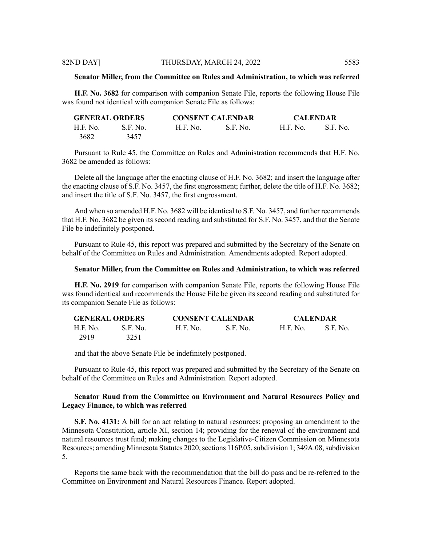#### **Senator Miller, from the Committee on Rules and Administration, to which was referred**

**H.F. No. 3682** for comparison with companion Senate File, reports the following House File was found not identical with companion Senate File as follows:

| <b>GENERAL ORDERS</b> |           |                 | <b>CONSENT CALENDAR</b> | <b>CALENDAR</b> |          |
|-----------------------|-----------|-----------------|-------------------------|-----------------|----------|
| H.F. No.              | -S.F. No. | <b>H.F. No.</b> | S.F. No.                | H.F. No.        | S.F. No. |
| 3682                  | 3457      |                 |                         |                 |          |

Pursuant to Rule 45, the Committee on Rules and Administration recommends that H.F. No. 3682 be amended as follows:

Delete all the language after the enacting clause of H.F. No. 3682; and insert the language after the enacting clause of S.F. No. 3457, the first engrossment; further, delete the title of H.F. No. 3682; and insert the title of S.F. No. 3457, the first engrossment.

And when so amended H.F. No. 3682 will be identical to S.F. No. 3457, and further recommends that H.F. No. 3682 be given its second reading and substituted for S.F. No. 3457, and that the Senate File be indefinitely postponed.

Pursuant to Rule 45, this report was prepared and submitted by the Secretary of the Senate on behalf of the Committee on Rules and Administration. Amendments adopted. Report adopted.

#### **Senator Miller, from the Committee on Rules and Administration, to which was referred**

**H.F. No. 2919** for comparison with companion Senate File, reports the following House File was found identical and recommends the House File be given its second reading and substituted for its companion Senate File as follows:

| <b>GENERAL ORDERS</b> |          |                 | <b>CONSENT CALENDAR</b> |          | <b>CALENDAR</b> |
|-----------------------|----------|-----------------|-------------------------|----------|-----------------|
| H.F. No.              | S.F. No. | <b>H.F. No.</b> | - S.F. No.              | H.F. No. | -S.F. No.       |
| 2919                  | 3251     |                 |                         |          |                 |

and that the above Senate File be indefinitely postponed.

Pursuant to Rule 45, this report was prepared and submitted by the Secretary of the Senate on behalf of the Committee on Rules and Administration. Report adopted.

# **Senator Ruud from the Committee on Environment and Natural Resources Policy and Legacy Finance, to which was referred**

**S.F. No. 4131:** A bill for an act relating to natural resources; proposing an amendment to the Minnesota Constitution, article XI, section 14; providing for the renewal of the environment and natural resources trust fund; making changes to the Legislative-Citizen Commission on Minnesota Resources; amending Minnesota Statutes 2020, sections 116P.05, subdivision 1; 349A.08, subdivision 5.

Reports the same back with the recommendation that the bill do pass and be re-referred to the Committee on Environment and Natural Resources Finance. Report adopted.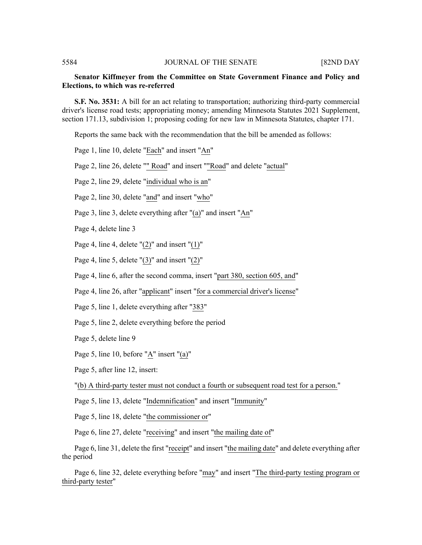# **Senator Kiffmeyer from the Committee on State Government Finance and Policy and Elections, to which was re-referred**

**S.F. No. 3531:** A bill for an act relating to transportation; authorizing third-party commercial driver's license road tests; appropriating money; amending Minnesota Statutes 2021 Supplement, section 171.13, subdivision 1; proposing coding for new law in Minnesota Statutes, chapter 171.

Reports the same back with the recommendation that the bill be amended as follows:

Page 1, line 10, delete "Each" and insert "An"

Page 2, line 26, delete "" Road" and insert ""Road" and delete "actual"

Page 2, line 29, delete "individual who is an"

Page 2, line 30, delete "and" and insert "who"

Page 3, line 3, delete everything after "(a)" and insert "An"

Page 4, delete line 3

Page 4, line 4, delete  $"(2)"$  and insert  $"(1)"$ 

Page 4, line 5, delete  $"(3)"$  and insert  $"(2)"$ 

Page 4, line 6, after the second comma, insert "part 380, section 605, and"

Page 4, line 26, after "applicant" insert "for a commercial driver's license"

Page 5, line 1, delete everything after "383"

Page 5, line 2, delete everything before the period

Page 5, delete line 9

Page 5, line 10, before "A" insert "(a)"

Page 5, after line 12, insert:

"(b) A third-party tester must not conduct a fourth or subsequent road test for a person."

Page 5, line 13, delete "Indemnification" and insert "Immunity"

Page 5, line 18, delete "the commissioner or"

Page 6, line 27, delete "receiving" and insert "the mailing date of"

Page 6, line 31, delete the first "receipt" and insert "the mailing date" and delete everything after the period

Page 6, line 32, delete everything before "may" and insert "The third-party testing program or third-party tester"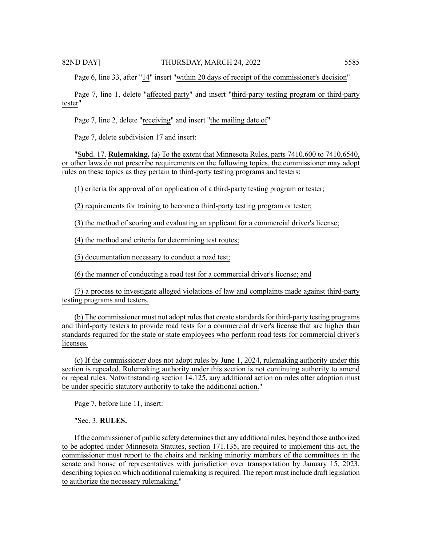Page 6, line 33, after "14" insert "within 20 days of receipt of the commissioner's decision"

Page 7, line 1, delete "affected party" and insert "third-party testing program or third-party tester"

Page 7, line 2, delete "receiving" and insert "the mailing date of"

Page 7, delete subdivision 17 and insert:

"Subd. 17. **Rulemaking.** (a) To the extent that Minnesota Rules, parts 7410.600 to 7410.6540, or other laws do not prescribe requirements on the following topics, the commissioner may adopt rules on these topics as they pertain to third-party testing programs and testers:

(1) criteria for approval of an application of a third-party testing program or tester;

(2) requirements for training to become a third-party testing program or tester;

(3) the method of scoring and evaluating an applicant for a commercial driver's license;

(4) the method and criteria for determining test routes;

(5) documentation necessary to conduct a road test;

(6) the manner of conducting a road test for a commercial driver's license; and

(7) a process to investigate alleged violations of law and complaints made against third-party testing programs and testers.

(b) The commissioner must not adopt rules that create standards for third-party testing programs and third-party testers to provide road tests for a commercial driver's license that are higher than standards required for the state or state employees who perform road tests for commercial driver's licenses.

(c) If the commissioner does not adopt rules by June 1, 2024, rulemaking authority under this section is repealed. Rulemaking authority under this section is not continuing authority to amend or repeal rules. Notwithstanding section 14.125, any additional action on rules after adoption must be under specific statutory authority to take the additional action."

Page 7, before line 11, insert:

"Sec. 3. **RULES.**

If the commissioner of public safety determines that any additional rules, beyond those authorized to be adopted under Minnesota Statutes, section 171.135, are required to implement this act, the commissioner must report to the chairs and ranking minority members of the committees in the senate and house of representatives with jurisdiction over transportation by January 15, 2023, describing topics on which additional rulemaking is required. The report must include draft legislation to authorize the necessary rulemaking."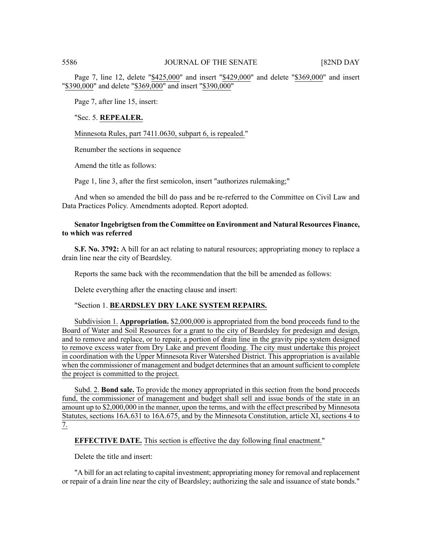Page 7, line 12, delete "\$425,000" and insert "\$429,000" and delete "\$369,000" and insert "\$390,000" and delete "\$369,000" and insert "\$390,000"

Page 7, after line 15, insert:

# "Sec. 5. **REPEALER.**

Minnesota Rules, part 7411.0630, subpart 6, is repealed."

Renumber the sections in sequence

Amend the title as follows:

Page 1, line 3, after the first semicolon, insert "authorizes rulemaking;"

And when so amended the bill do pass and be re-referred to the Committee on Civil Law and Data Practices Policy. Amendments adopted. Report adopted.

# **Senator Ingebrigtsen from the Committee on Environment and Natural Resources Finance, to which was referred**

**S.F. No. 3792:** A bill for an act relating to natural resources; appropriating money to replace a drain line near the city of Beardsley.

Reports the same back with the recommendation that the bill be amended as follows:

Delete everything after the enacting clause and insert:

# "Section 1. **BEARDSLEY DRY LAKE SYSTEM REPAIRS.**

Subdivision 1. **Appropriation.** \$2,000,000 is appropriated from the bond proceeds fund to the Board of Water and Soil Resources for a grant to the city of Beardsley for predesign and design, and to remove and replace, or to repair, a portion of drain line in the gravity pipe system designed to remove excess water from Dry Lake and prevent flooding. The city must undertake this project in coordination with the Upper Minnesota River Watershed District. This appropriation is available when the commissioner of management and budget determines that an amount sufficient to complete the project is committed to the project.

Subd. 2. **Bond sale.** To provide the money appropriated in this section from the bond proceeds fund, the commissioner of management and budget shall sell and issue bonds of the state in an amount up to \$2,000,000 in the manner, upon the terms, and with the effect prescribed by Minnesota Statutes, sections 16A.631 to 16A.675, and by the Minnesota Constitution, article XI, sections 4 to 7.

**EFFECTIVE DATE.** This section is effective the day following final enactment."

Delete the title and insert:

"A bill for an act relating to capital investment; appropriating money for removal and replacement or repair of a drain line near the city of Beardsley; authorizing the sale and issuance of state bonds."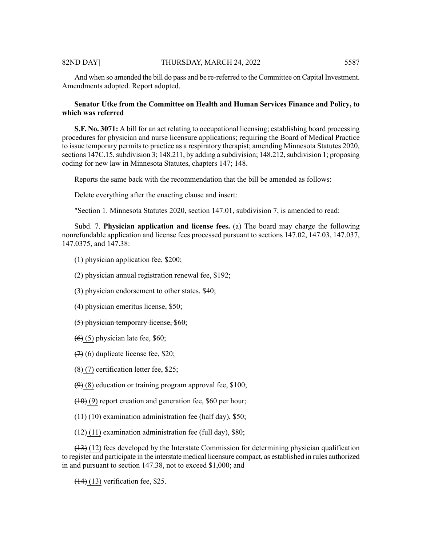And when so amended the bill do pass and be re-referred to the Committee on Capital Investment. Amendments adopted. Report adopted.

# **Senator Utke from the Committee on Health and Human Services Finance and Policy, to which was referred**

**S.F. No. 3071:** A bill for an act relating to occupational licensing; establishing board processing procedures for physician and nurse licensure applications; requiring the Board of Medical Practice to issue temporary permits to practice as a respiratory therapist; amending Minnesota Statutes 2020, sections 147C.15, subdivision 3; 148.211, by adding a subdivision; 148.212, subdivision 1; proposing coding for new law in Minnesota Statutes, chapters 147; 148.

Reports the same back with the recommendation that the bill be amended as follows:

Delete everything after the enacting clause and insert:

"Section 1. Minnesota Statutes 2020, section 147.01, subdivision 7, is amended to read:

Subd. 7. **Physician application and license fees.** (a) The board may charge the following nonrefundable application and license fees processed pursuant to sections 147.02, 147.03, 147.037, 147.0375, and 147.38:

- (1) physician application fee, \$200;
- (2) physician annual registration renewal fee, \$192;
- (3) physician endorsement to other states, \$40;
- (4) physician emeritus license, \$50;
- (5) physician temporary license, \$60;
- $(6)$  (5) physician late fee, \$60;
- $(7)$  (6) duplicate license fee, \$20;
- (8) (7) certification letter fee, \$25;
- $(9)$  (8) education or training program approval fee, \$100;
- $(10)(9)$  report creation and generation fee, \$60 per hour;
- $(11)$  (10) examination administration fee (half day), \$50;
- $(12)$  (11) examination administration fee (full day), \$80;

 $(13)$  (12) fees developed by the Interstate Commission for determining physician qualification to register and participate in the interstate medical licensure compact, as established in rules authorized in and pursuant to section 147.38, not to exceed \$1,000; and

(14) (13) verification fee, \$25.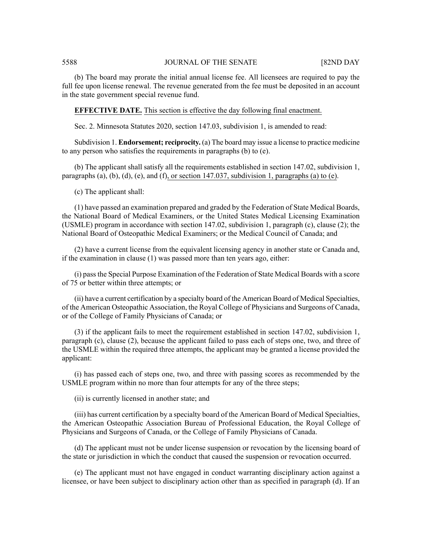(b) The board may prorate the initial annual license fee. All licensees are required to pay the full fee upon license renewal. The revenue generated from the fee must be deposited in an account in the state government special revenue fund.

**EFFECTIVE DATE.** This section is effective the day following final enactment.

Sec. 2. Minnesota Statutes 2020, section 147.03, subdivision 1, is amended to read:

Subdivision 1. **Endorsement; reciprocity.** (a) The board may issue a license to practice medicine to any person who satisfies the requirements in paragraphs (b) to (e).

(b) The applicant shall satisfy all the requirements established in section 147.02, subdivision 1, paragraphs (a), (b), (d), (e), and (f), or section 147.037, subdivision 1, paragraphs (a) to (e).

(c) The applicant shall:

(1) have passed an examination prepared and graded by the Federation of State Medical Boards, the National Board of Medical Examiners, or the United States Medical Licensing Examination (USMLE) program in accordance with section 147.02, subdivision 1, paragraph (c), clause (2); the National Board of Osteopathic Medical Examiners; or the Medical Council of Canada; and

(2) have a current license from the equivalent licensing agency in another state or Canada and, if the examination in clause (1) was passed more than ten years ago, either:

(i) passthe Special Purpose Examination of the Federation of State Medical Boards with a score of 75 or better within three attempts; or

(ii) have a current certification by a specialty board of the American Board of Medical Specialties, of the American Osteopathic Association, the Royal College of Physicians and Surgeons of Canada, or of the College of Family Physicians of Canada; or

(3) if the applicant fails to meet the requirement established in section 147.02, subdivision 1, paragraph (c), clause (2), because the applicant failed to pass each of steps one, two, and three of the USMLE within the required three attempts, the applicant may be granted a license provided the applicant:

(i) has passed each of steps one, two, and three with passing scores as recommended by the USMLE program within no more than four attempts for any of the three steps;

(ii) is currently licensed in another state; and

(iii) has current certification by a specialty board of the American Board of Medical Specialties, the American Osteopathic Association Bureau of Professional Education, the Royal College of Physicians and Surgeons of Canada, or the College of Family Physicians of Canada.

(d) The applicant must not be under license suspension or revocation by the licensing board of the state or jurisdiction in which the conduct that caused the suspension or revocation occurred.

(e) The applicant must not have engaged in conduct warranting disciplinary action against a licensee, or have been subject to disciplinary action other than as specified in paragraph (d). If an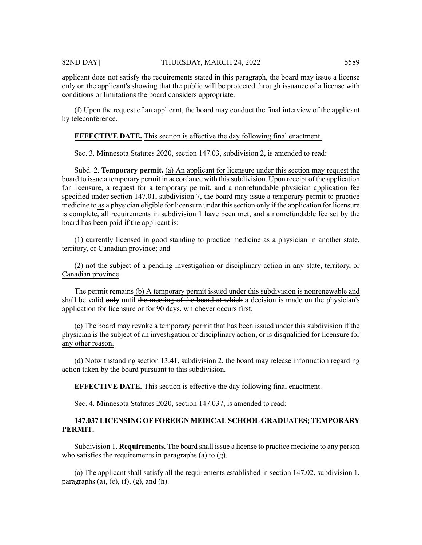# 82ND DAY] THURSDAY, MARCH 24, 2022 5589

applicant does not satisfy the requirements stated in this paragraph, the board may issue a license only on the applicant's showing that the public will be protected through issuance of a license with conditions or limitations the board considers appropriate.

(f) Upon the request of an applicant, the board may conduct the final interview of the applicant by teleconference.

# **EFFECTIVE DATE.** This section is effective the day following final enactment.

Sec. 3. Minnesota Statutes 2020, section 147.03, subdivision 2, is amended to read:

Subd. 2. **Temporary permit.** (a) An applicant for licensure under this section may request the board to issue a temporary permit in accordance with thissubdivision. Upon receipt of the application for licensure, a request for a temporary permit, and a nonrefundable physician application fee specified under section 147.01, subdivision 7, the board may issue a temporary permit to practice medicine to as a physician eligible for licensure under this section only if the application for licensure is complete, all requirements in subdivision 1 have been met, and a nonrefundable fee set by the board has been paid if the applicant is:

(1) currently licensed in good standing to practice medicine as a physician in another state, territory, or Canadian province; and

(2) not the subject of a pending investigation or disciplinary action in any state, territory, or Canadian province.

The permit remains (b) A temporary permit issued under this subdivision is nonrenewable and shall be valid only until the meeting of the board at which a decision is made on the physician's application for licensure or for 90 days, whichever occurs first.

(c) The board may revoke a temporary permit that has been issued under this subdivision if the physician is the subject of an investigation or disciplinary action, or is disqualified for licensure for any other reason.

(d) Notwithstanding section 13.41, subdivision 2, the board may release information regarding action taken by the board pursuant to this subdivision.

# **EFFECTIVE DATE.** This section is effective the day following final enactment.

Sec. 4. Minnesota Statutes 2020, section 147.037, is amended to read:

# **147.037LICENSING OF FOREIGNMEDICALSCHOOL GRADUATES;TEMPORARY PERMIT.**

Subdivision 1. **Requirements.** The board shall issue a license to practice medicine to any person who satisfies the requirements in paragraphs (a) to  $(g)$ .

(a) The applicant shall satisfy all the requirements established in section 147.02, subdivision 1, paragraphs  $(a)$ ,  $(e)$ ,  $(f)$ ,  $(g)$ , and  $(h)$ .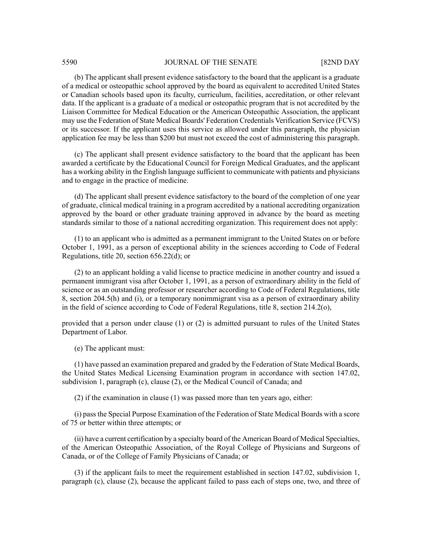(b) The applicant shall present evidence satisfactory to the board that the applicant is a graduate of a medical or osteopathic school approved by the board as equivalent to accredited United States or Canadian schools based upon its faculty, curriculum, facilities, accreditation, or other relevant data. If the applicant is a graduate of a medical or osteopathic program that is not accredited by the Liaison Committee for Medical Education or the American Osteopathic Association, the applicant may use the Federation of State Medical Boards' Federation Credentials Verification Service (FCVS) or its successor. If the applicant uses this service as allowed under this paragraph, the physician application fee may be less than \$200 but must not exceed the cost of administering this paragraph.

(c) The applicant shall present evidence satisfactory to the board that the applicant has been awarded a certificate by the Educational Council for Foreign Medical Graduates, and the applicant has a working ability in the English language sufficient to communicate with patients and physicians and to engage in the practice of medicine.

(d) The applicant shall present evidence satisfactory to the board of the completion of one year of graduate, clinical medical training in a program accredited by a national accrediting organization approved by the board or other graduate training approved in advance by the board as meeting standards similar to those of a national accrediting organization. This requirement does not apply:

(1) to an applicant who is admitted as a permanent immigrant to the United States on or before October 1, 1991, as a person of exceptional ability in the sciences according to Code of Federal Regulations, title 20, section 656.22(d); or

(2) to an applicant holding a valid license to practice medicine in another country and issued a permanent immigrant visa after October 1, 1991, as a person of extraordinary ability in the field of science or as an outstanding professor or researcher according to Code of Federal Regulations, title 8, section 204.5(h) and (i), or a temporary nonimmigrant visa as a person of extraordinary ability in the field of science according to Code of Federal Regulations, title 8, section 214.2(o),

provided that a person under clause (1) or (2) is admitted pursuant to rules of the United States Department of Labor.

(e) The applicant must:

(1) have passed an examination prepared and graded by the Federation of State Medical Boards, the United States Medical Licensing Examination program in accordance with section 147.02, subdivision 1, paragraph (c), clause (2), or the Medical Council of Canada; and

(2) if the examination in clause (1) was passed more than ten years ago, either:

(i) passthe Special Purpose Examination of the Federation of State Medical Boards with a score of 75 or better within three attempts; or

(ii) have a current certification by a specialty board of the American Board of Medical Specialties, of the American Osteopathic Association, of the Royal College of Physicians and Surgeons of Canada, or of the College of Family Physicians of Canada; or

(3) if the applicant fails to meet the requirement established in section 147.02, subdivision 1, paragraph (c), clause (2), because the applicant failed to pass each of steps one, two, and three of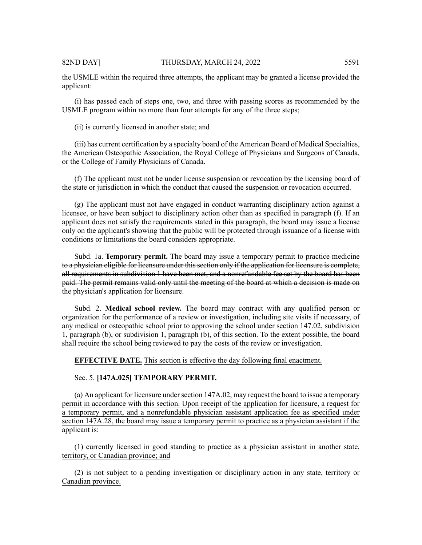applicant:

(i) has passed each of steps one, two, and three with passing scores as recommended by the USMLE program within no more than four attempts for any of the three steps;

(ii) is currently licensed in another state; and

(iii) has current certification by a specialty board of the American Board of Medical Specialties, the American Osteopathic Association, the Royal College of Physicians and Surgeons of Canada, or the College of Family Physicians of Canada.

(f) The applicant must not be under license suspension or revocation by the licensing board of the state or jurisdiction in which the conduct that caused the suspension or revocation occurred.

(g) The applicant must not have engaged in conduct warranting disciplinary action against a licensee, or have been subject to disciplinary action other than as specified in paragraph (f). If an applicant does not satisfy the requirements stated in this paragraph, the board may issue a license only on the applicant's showing that the public will be protected through issuance of a license with conditions or limitations the board considers appropriate.

Subd. 1a. **Temporary permit.** The board may issue a temporary permit to practice medicine to a physician eligible for licensure under this section only if the application for licensure is complete, all requirements in subdivision 1 have been met, and a nonrefundable fee set by the board has been paid. The permit remains valid only until the meeting of the board at which a decision is made on the physician's application for licensure.

Subd. 2. **Medical school review.** The board may contract with any qualified person or organization for the performance of a review or investigation, including site visits if necessary, of any medical or osteopathic school prior to approving the school under section 147.02, subdivision 1, paragraph (b), or subdivision 1, paragraph (b), of this section. To the extent possible, the board shall require the school being reviewed to pay the costs of the review or investigation.

**EFFECTIVE DATE.** This section is effective the day following final enactment.

# Sec. 5. **[147A.025] TEMPORARY PERMIT.**

(a) An applicant for licensure undersection 147A.02, may request the board to issue a temporary permit in accordance with this section. Upon receipt of the application for licensure, a request for a temporary permit, and a nonrefundable physician assistant application fee as specified under section 147A.28, the board may issue a temporary permit to practice as a physician assistant if the applicant is:

(1) currently licensed in good standing to practice as a physician assistant in another state, territory, or Canadian province; and

(2) is not subject to a pending investigation or disciplinary action in any state, territory or Canadian province.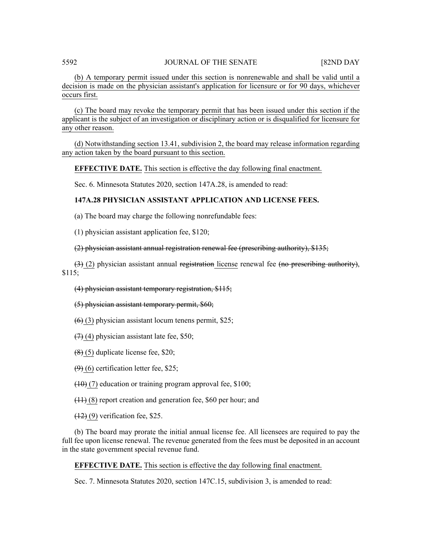(b) A temporary permit issued under this section is nonrenewable and shall be valid until a decision is made on the physician assistant's application for licensure or for 90 days, whichever occurs first.

(c) The board may revoke the temporary permit that has been issued under this section if the applicant is the subject of an investigation or disciplinary action or is disqualified for licensure for any other reason.

(d) Notwithstanding section 13.41, subdivision 2, the board may release information regarding any action taken by the board pursuant to this section.

**EFFECTIVE DATE.** This section is effective the day following final enactment.

Sec. 6. Minnesota Statutes 2020, section 147A.28, is amended to read:

# **147A.28 PHYSICIAN ASSISTANT APPLICATION AND LICENSE FEES.**

(a) The board may charge the following nonrefundable fees:

(1) physician assistant application fee, \$120;

(2) physician assistant annual registration renewal fee (prescribing authority), \$135;

 $(3)$  (2) physician assistant annual registration license renewal fee (no prescribing authority), \$115;

# (4) physician assistant temporary registration, \$115;

(5) physician assistant temporary permit, \$60;

 $(6)$  (3) physician assistant locum tenens permit, \$25;

 $(7)$  (4) physician assistant late fee, \$50;

 $(8)$  (5) duplicate license fee, \$20;

 $(9)$  (6) certification letter fee, \$25;

 $(10)$  (7) education or training program approval fee, \$100;

(11) (8) report creation and generation fee, \$60 per hour; and

 $(12)$  (9) verification fee, \$25.

(b) The board may prorate the initial annual license fee. All licensees are required to pay the full fee upon license renewal. The revenue generated from the fees must be deposited in an account in the state government special revenue fund.

**EFFECTIVE DATE.** This section is effective the day following final enactment.

Sec. 7. Minnesota Statutes 2020, section 147C.15, subdivision 3, is amended to read: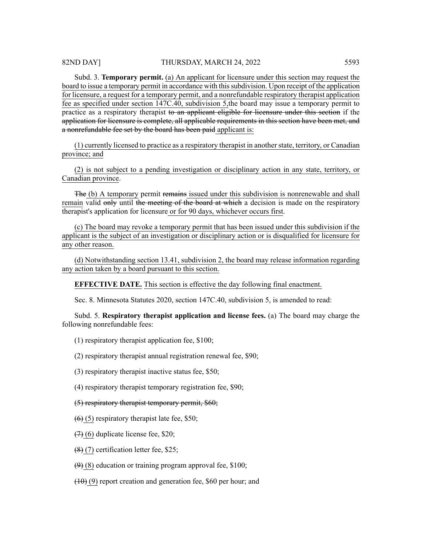Subd. 3. **Temporary permit.** (a) An applicant for licensure under this section may request the board to issue a temporary permit in accordance with thissubdivision. Upon receipt of the application for licensure, a request for a temporary permit, and a nonrefundable respiratory therapist application fee as specified under section 147C.40, subdivision 5,the board may issue a temporary permit to practice as a respiratory therapist to an applicant eligible for licensure under this section if the application for licensure is complete, all applicable requirements in this section have been met, and a nonrefundable fee set by the board has been paid applicant is:

(1) currently licensed to practice as a respiratory therapist in anotherstate, territory, or Canadian province; and

(2) is not subject to a pending investigation or disciplinary action in any state, territory, or Canadian province.

The (b) A temporary permit remains issued under this subdivision is nonrenewable and shall remain valid only until the meeting of the board at which a decision is made on the respiratory therapist's application for licensure or for 90 days, whichever occurs first.

(c) The board may revoke a temporary permit that has been issued under this subdivision if the applicant is the subject of an investigation or disciplinary action or is disqualified for licensure for any other reason.

(d) Notwithstanding section 13.41, subdivision 2, the board may release information regarding any action taken by a board pursuant to this section.

**EFFECTIVE DATE.** This section is effective the day following final enactment.

Sec. 8. Minnesota Statutes 2020, section 147C.40, subdivision 5, is amended to read:

Subd. 5. **Respiratory therapist application and license fees.** (a) The board may charge the following nonrefundable fees:

(1) respiratory therapist application fee, \$100;

(2) respiratory therapist annual registration renewal fee, \$90;

(3) respiratory therapist inactive status fee, \$50;

(4) respiratory therapist temporary registration fee, \$90;

(5) respiratory therapist temporary permit, \$60;

 $(6)$  (5) respiratory therapist late fee, \$50;

 $(7)(6)$  duplicate license fee, \$20;

(8) (7) certification letter fee, \$25;

 $(9)$  (8) education or training program approval fee, \$100;

 $(10)$  (9) report creation and generation fee, \$60 per hour; and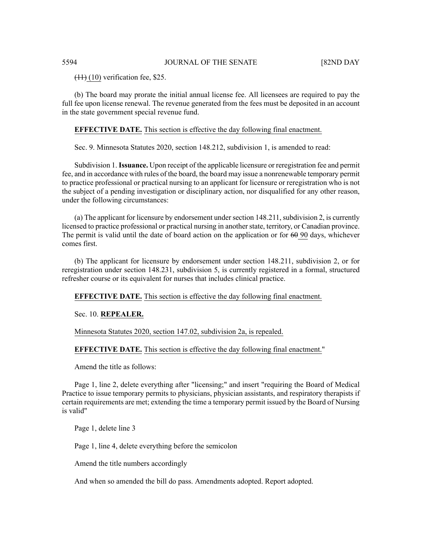$(11)$  (10) verification fee, \$25.

(b) The board may prorate the initial annual license fee. All licensees are required to pay the full fee upon license renewal. The revenue generated from the fees must be deposited in an account in the state government special revenue fund.

# **EFFECTIVE DATE.** This section is effective the day following final enactment.

Sec. 9. Minnesota Statutes 2020, section 148.212, subdivision 1, is amended to read:

Subdivision 1.**Issuance.** Upon receipt of the applicable licensure or reregistration fee and permit fee, and in accordance with rules of the board, the board may issue a nonrenewable temporary permit to practice professional or practical nursing to an applicant for licensure or reregistration who is not the subject of a pending investigation or disciplinary action, nor disqualified for any other reason, under the following circumstances:

(a) The applicant for licensure by endorsement under section  $148.211$ , subdivision 2, is currently licensed to practice professional or practical nursing in another state, territory, or Canadian province. The permit is valid until the date of board action on the application or for  $60$  90 days, whichever comes first.

(b) The applicant for licensure by endorsement under section 148.211, subdivision 2, or for reregistration under section 148.231, subdivision 5, is currently registered in a formal, structured refresher course or its equivalent for nurses that includes clinical practice.

**EFFECTIVE DATE.** This section is effective the day following final enactment.

Sec. 10. **REPEALER.**

Minnesota Statutes 2020, section 147.02, subdivision 2a, is repealed.

**EFFECTIVE DATE.** This section is effective the day following final enactment."

Amend the title as follows:

Page 1, line 2, delete everything after "licensing;" and insert "requiring the Board of Medical Practice to issue temporary permits to physicians, physician assistants, and respiratory therapists if certain requirements are met; extending the time a temporary permit issued by the Board of Nursing is valid"

Page 1, delete line 3

Page 1, line 4, delete everything before the semicolon

Amend the title numbers accordingly

And when so amended the bill do pass. Amendments adopted. Report adopted.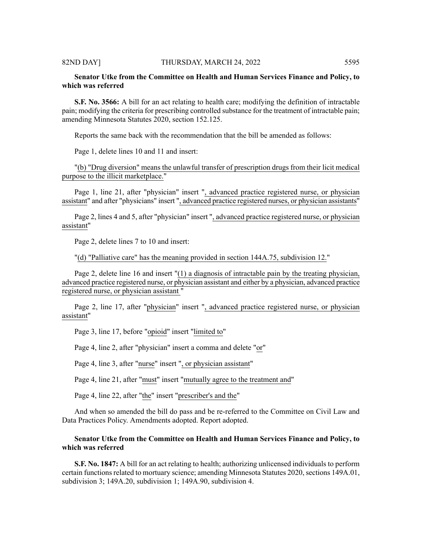# **Senator Utke from the Committee on Health and Human Services Finance and Policy, to which was referred**

**S.F. No. 3566:** A bill for an act relating to health care; modifying the definition of intractable pain; modifying the criteria for prescribing controlled substance for the treatment of intractable pain; amending Minnesota Statutes 2020, section 152.125.

Reports the same back with the recommendation that the bill be amended as follows:

Page 1, delete lines 10 and 11 and insert:

"(b) "Drug diversion" means the unlawful transfer of prescription drugs from their licit medical purpose to the illicit marketplace."

Page 1, line 21, after "physician" insert ", advanced practice registered nurse, or physician assistant" and after "physicians" insert ", advanced practice registered nurses, or physician assistants"

Page 2, lines 4 and 5, after "physician" insert ", advanced practice registered nurse, or physician assistant"

Page 2, delete lines 7 to 10 and insert:

"(d) "Palliative care" has the meaning provided in section 144A.75, subdivision 12."

Page 2, delete line 16 and insert "(1) a diagnosis of intractable pain by the treating physician, advanced practice registered nurse, or physician assistant and either by a physician, advanced practice registered nurse, or physician assistant "

Page 2, line 17, after "physician" insert ", advanced practice registered nurse, or physician assistant"

Page 3, line 17, before "opioid" insert "limited to"

Page 4, line 2, after "physician" insert a comma and delete "or"

Page 4, line 3, after "nurse" insert ", or physician assistant"

Page 4, line 21, after "must" insert "mutually agree to the treatment and"

Page 4, line 22, after "the" insert "prescriber's and the"

And when so amended the bill do pass and be re-referred to the Committee on Civil Law and Data Practices Policy. Amendments adopted. Report adopted.

# **Senator Utke from the Committee on Health and Human Services Finance and Policy, to which was referred**

**S.F. No. 1847:** A bill for an act relating to health; authorizing unlicensed individuals to perform certain functions related to mortuary science; amending Minnesota Statutes 2020, sections 149A.01, subdivision 3; 149A.20, subdivision 1; 149A.90, subdivision 4.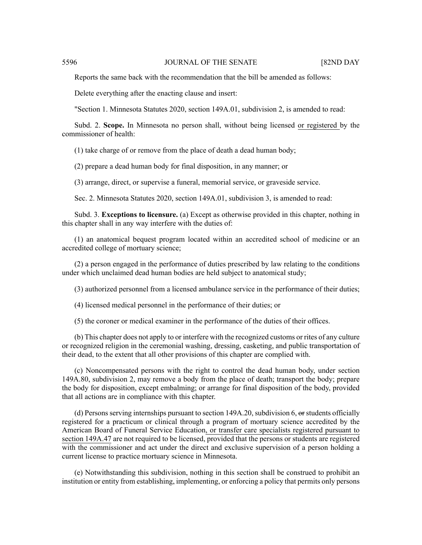Reports the same back with the recommendation that the bill be amended as follows:

Delete everything after the enacting clause and insert:

"Section 1. Minnesota Statutes 2020, section 149A.01, subdivision 2, is amended to read:

Subd. 2. **Scope.** In Minnesota no person shall, without being licensed or registered by the commissioner of health:

(1) take charge of or remove from the place of death a dead human body;

(2) prepare a dead human body for final disposition, in any manner; or

(3) arrange, direct, or supervise a funeral, memorial service, or graveside service.

Sec. 2. Minnesota Statutes 2020, section 149A.01, subdivision 3, is amended to read:

Subd. 3. **Exceptions to licensure.** (a) Except as otherwise provided in this chapter, nothing in this chapter shall in any way interfere with the duties of:

(1) an anatomical bequest program located within an accredited school of medicine or an accredited college of mortuary science;

(2) a person engaged in the performance of duties prescribed by law relating to the conditions under which unclaimed dead human bodies are held subject to anatomical study;

(3) authorized personnel from a licensed ambulance service in the performance of their duties;

(4) licensed medical personnel in the performance of their duties; or

(5) the coroner or medical examiner in the performance of the duties of their offices.

(b) This chapter does not apply to or interfere with the recognized customs or rites of any culture or recognized religion in the ceremonial washing, dressing, casketing, and public transportation of their dead, to the extent that all other provisions of this chapter are complied with.

(c) Noncompensated persons with the right to control the dead human body, under section 149A.80, subdivision 2, may remove a body from the place of death; transport the body; prepare the body for disposition, except embalming; or arrange for final disposition of the body, provided that all actions are in compliance with this chapter.

(d) Persons serving internships pursuant to section  $149A.20$ , subdivision 6,  $\omega$  students officially registered for a practicum or clinical through a program of mortuary science accredited by the American Board of Funeral Service Education, or transfer care specialists registered pursuant to section 149A.47 are not required to be licensed, provided that the persons or students are registered with the commissioner and act under the direct and exclusive supervision of a person holding a current license to practice mortuary science in Minnesota.

(e) Notwithstanding this subdivision, nothing in this section shall be construed to prohibit an institution or entity from establishing, implementing, or enforcing a policy that permits only persons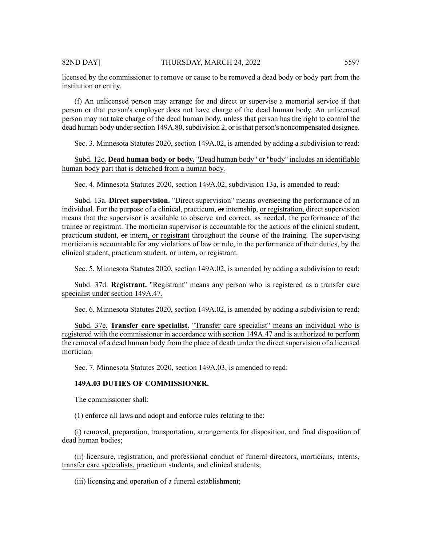licensed by the commissioner to remove or cause to be removed a dead body or body part from the institution or entity.

(f) An unlicensed person may arrange for and direct or supervise a memorial service if that person or that person's employer does not have charge of the dead human body. An unlicensed person may not take charge of the dead human body, unless that person has the right to control the dead human body under section 149A.80, subdivision 2, or is that person's noncompensated designee.

Sec. 3. Minnesota Statutes 2020, section 149A.02, is amended by adding a subdivision to read:

Subd. 12c. **Dead human body or body.** "Dead human body" or "body" includes an identifiable human body part that is detached from a human body.

Sec. 4. Minnesota Statutes 2020, section 149A.02, subdivision 13a, is amended to read:

Subd. 13a. **Direct supervision.** "Direct supervision" means overseeing the performance of an individual. For the purpose of a clinical, practicum,  $\Theta$  internship, or registration, direct supervision means that the supervisor is available to observe and correct, as needed, the performance of the trainee or registrant. The mortician supervisor is accountable for the actions of the clinical student, practicum student, or intern, or registrant throughout the course of the training. The supervising mortician is accountable for any violations of law or rule, in the performance of their duties, by the clinical student, practicum student, or intern, or registrant.

Sec. 5. Minnesota Statutes 2020, section 149A.02, is amended by adding a subdivision to read:

Subd. 37d. **Registrant.** "Registrant" means any person who is registered as a transfer care specialist under section 149A.47.

Sec. 6. Minnesota Statutes 2020, section 149A.02, is amended by adding a subdivision to read:

Subd. 37e. **Transfer care specialist.** "Transfer care specialist" means an individual who is registered with the commissioner in accordance with section 149A.47 and is authorized to perform the removal of a dead human body from the place of death under the direct supervision of a licensed mortician.

Sec. 7. Minnesota Statutes 2020, section 149A.03, is amended to read:

### **149A.03 DUTIES OF COMMISSIONER.**

The commissioner shall:

(1) enforce all laws and adopt and enforce rules relating to the:

(i) removal, preparation, transportation, arrangements for disposition, and final disposition of dead human bodies;

(ii) licensure, registration, and professional conduct of funeral directors, morticians, interns, transfer care specialists, practicum students, and clinical students;

(iii) licensing and operation of a funeral establishment;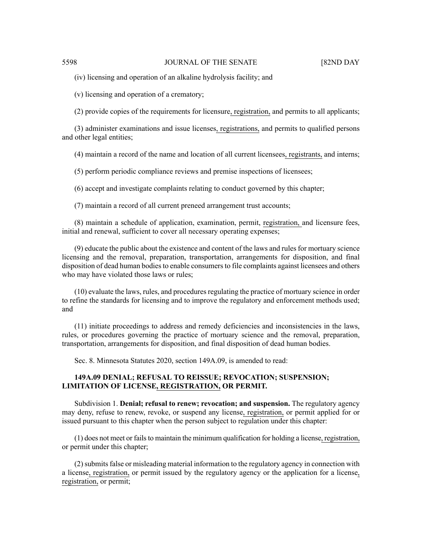(iv) licensing and operation of an alkaline hydrolysis facility; and

(v) licensing and operation of a crematory;

(2) provide copies of the requirements for licensure, registration, and permits to all applicants;

(3) administer examinations and issue licenses, registrations, and permits to qualified persons and other legal entities;

(4) maintain a record of the name and location of all current licensees, registrants, and interns;

(5) perform periodic compliance reviews and premise inspections of licensees;

(6) accept and investigate complaints relating to conduct governed by this chapter;

(7) maintain a record of all current preneed arrangement trust accounts;

(8) maintain a schedule of application, examination, permit, registration, and licensure fees, initial and renewal, sufficient to cover all necessary operating expenses;

(9) educate the public about the existence and content of the laws and rules for mortuary science licensing and the removal, preparation, transportation, arrangements for disposition, and final disposition of dead human bodies to enable consumers to file complaints against licensees and others who may have violated those laws or rules;

(10) evaluate the laws, rules, and procedures regulating the practice of mortuary science in order to refine the standards for licensing and to improve the regulatory and enforcement methods used; and

(11) initiate proceedings to address and remedy deficiencies and inconsistencies in the laws, rules, or procedures governing the practice of mortuary science and the removal, preparation, transportation, arrangements for disposition, and final disposition of dead human bodies.

Sec. 8. Minnesota Statutes 2020, section 149A.09, is amended to read:

# **149A.09 DENIAL; REFUSAL TO REISSUE; REVOCATION; SUSPENSION; LIMITATION OF LICENSE, REGISTRATION, OR PERMIT.**

Subdivision 1. **Denial; refusal to renew; revocation; and suspension.** The regulatory agency may deny, refuse to renew, revoke, or suspend any license, registration, or permit applied for or issued pursuant to this chapter when the person subject to regulation under this chapter:

 $(1)$  does not meet or fails to maintain the minimum qualification for holding a license, registration, or permit under this chapter;

 $(2)$  submits false or misleading material information to the regulatory agency in connection with a license, registration, or permit issued by the regulatory agency or the application for a license, registration, or permit;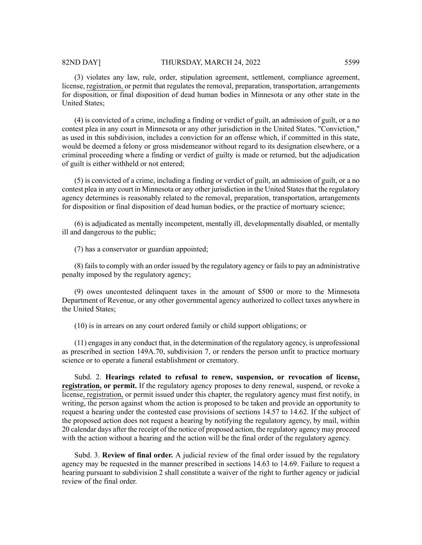(3) violates any law, rule, order, stipulation agreement, settlement, compliance agreement, license, registration, or permit that regulates the removal, preparation, transportation, arrangements for disposition, or final disposition of dead human bodies in Minnesota or any other state in the United States;

(4) is convicted of a crime, including a finding or verdict of guilt, an admission of guilt, or a no contest plea in any court in Minnesota or any other jurisdiction in the United States. "Conviction," as used in this subdivision, includes a conviction for an offense which, if committed in this state, would be deemed a felony or gross misdemeanor without regard to its designation elsewhere, or a criminal proceeding where a finding or verdict of guilty is made or returned, but the adjudication of guilt is either withheld or not entered;

(5) is convicted of a crime, including a finding or verdict of guilt, an admission of guilt, or a no contest plea in any court in Minnesota or any other jurisdiction in the United States that the regulatory agency determines is reasonably related to the removal, preparation, transportation, arrangements for disposition or final disposition of dead human bodies, or the practice of mortuary science;

(6) is adjudicated as mentally incompetent, mentally ill, developmentally disabled, or mentally ill and dangerous to the public;

(7) has a conservator or guardian appointed;

(8) fails to comply with an order issued by the regulatory agency or fails to pay an administrative penalty imposed by the regulatory agency;

(9) owes uncontested delinquent taxes in the amount of \$500 or more to the Minnesota Department of Revenue, or any other governmental agency authorized to collect taxes anywhere in the United States;

(10) is in arrears on any court ordered family or child support obligations; or

 $(11)$  engages in any conduct that, in the determination of the regulatory agency, is unprofessional as prescribed in section 149A.70, subdivision 7, or renders the person unfit to practice mortuary science or to operate a funeral establishment or crematory.

Subd. 2. **Hearings related to refusal to renew, suspension, or revocation of license, registration, or permit.** If the regulatory agency proposes to deny renewal, suspend, or revoke a license, registration, or permit issued under this chapter, the regulatory agency must first notify, in writing, the person against whom the action is proposed to be taken and provide an opportunity to request a hearing under the contested case provisions of sections 14.57 to 14.62. If the subject of the proposed action does not request a hearing by notifying the regulatory agency, by mail, within 20 calendar days after the receipt of the notice of proposed action, the regulatory agency may proceed with the action without a hearing and the action will be the final order of the regulatory agency.

Subd. 3. **Review of final order.** A judicial review of the final order issued by the regulatory agency may be requested in the manner prescribed in sections 14.63 to 14.69. Failure to request a hearing pursuant to subdivision 2 shall constitute a waiver of the right to further agency or judicial review of the final order.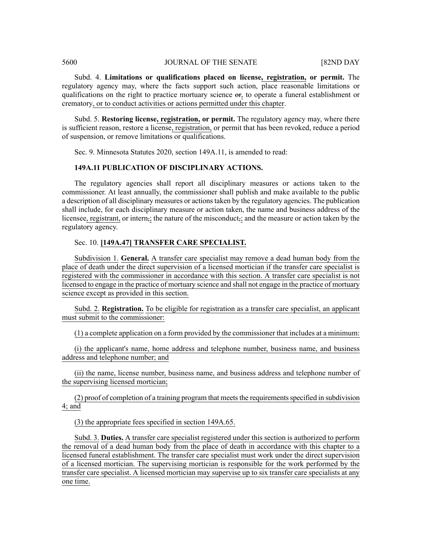Subd. 4. **Limitations or qualifications placed on license, registration, or permit.** The regulatory agency may, where the facts support such action, place reasonable limitations or qualifications on the right to practice mortuary science  $\Theta$ r, to operate a funeral establishment or crematory, or to conduct activities or actions permitted under this chapter.

Subd. 5. **Restoring license, registration, or permit.** The regulatory agency may, where there is sufficient reason, restore a license, registration, or permit that has been revoked, reduce a period of suspension, or remove limitations or qualifications.

Sec. 9. Minnesota Statutes 2020, section 149A.11, is amended to read:

# **149A.11 PUBLICATION OF DISCIPLINARY ACTIONS.**

The regulatory agencies shall report all disciplinary measures or actions taken to the commissioner. At least annually, the commissioner shall publish and make available to the public a description of all disciplinary measures or actions taken by the regulatory agencies. The publication shall include, for each disciplinary measure or action taken, the name and business address of the licensee, registrant, or intern,; the nature of the misconduct, and the measure or action taken by the regulatory agency.

# Sec. 10. **[149A.47] TRANSFER CARE SPECIALIST.**

Subdivision 1. **General.** A transfer care specialist may remove a dead human body from the place of death under the direct supervision of a licensed mortician if the transfer care specialist is registered with the commissioner in accordance with this section. A transfer care specialist is not licensed to engage in the practice of mortuary science and shall not engage in the practice of mortuary science except as provided in this section.

Subd. 2. **Registration.** To be eligible for registration as a transfer care specialist, an applicant must submit to the commissioner:

(1) a complete application on a form provided by the commissioner that includes at a minimum:

(i) the applicant's name, home address and telephone number, business name, and business address and telephone number; and

(ii) the name, license number, business name, and business address and telephone number of the supervising licensed mortician;

(2) proof of completion of a training program that meets the requirements specified in subdivision 4; and

(3) the appropriate fees specified in section 149A.65.

Subd. 3. **Duties.** A transfer care specialist registered under this section is authorized to perform the removal of a dead human body from the place of death in accordance with this chapter to a licensed funeral establishment. The transfer care specialist must work under the direct supervision of a licensed mortician. The supervising mortician is responsible for the work performed by the transfer care specialist. A licensed mortician may supervise up to six transfer care specialists at any one time.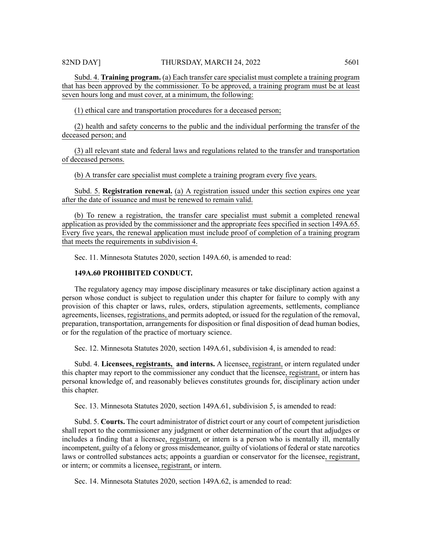Subd. 4. **Training program.** (a) Each transfer care specialist must complete a training program that has been approved by the commissioner. To be approved, a training program must be at least seven hours long and must cover, at a minimum, the following:

(1) ethical care and transportation procedures for a deceased person;

(2) health and safety concerns to the public and the individual performing the transfer of the deceased person; and

(3) all relevant state and federal laws and regulations related to the transfer and transportation of deceased persons.

(b) A transfer care specialist must complete a training program every five years.

Subd. 5. **Registration renewal.** (a) A registration issued under this section expires one year after the date of issuance and must be renewed to remain valid.

(b) To renew a registration, the transfer care specialist must submit a completed renewal application as provided by the commissioner and the appropriate fees specified in section 149A.65. Every five years, the renewal application must include proof of completion of a training program that meets the requirements in subdivision 4.

Sec. 11. Minnesota Statutes 2020, section 149A.60, is amended to read:

# **149A.60 PROHIBITED CONDUCT.**

The regulatory agency may impose disciplinary measures or take disciplinary action against a person whose conduct is subject to regulation under this chapter for failure to comply with any provision of this chapter or laws, rules, orders, stipulation agreements, settlements, compliance agreements, licenses, registrations, and permits adopted, or issued for the regulation of the removal, preparation, transportation, arrangements for disposition or final disposition of dead human bodies, or for the regulation of the practice of mortuary science.

Sec. 12. Minnesota Statutes 2020, section 149A.61, subdivision 4, is amended to read:

Subd. 4. **Licensees, registrants, and interns.** A licensee, registrant, or intern regulated under this chapter may report to the commissioner any conduct that the licensee, registrant, or intern has personal knowledge of, and reasonably believes constitutes grounds for, disciplinary action under this chapter.

Sec. 13. Minnesota Statutes 2020, section 149A.61, subdivision 5, is amended to read:

Subd. 5. **Courts.** The court administrator of district court or any court of competent jurisdiction shall report to the commissioner any judgment or other determination of the court that adjudges or includes a finding that a licensee, registrant, or intern is a person who is mentally ill, mentally incompetent, guilty of a felony or gross misdemeanor, guilty of violations of federal orstate narcotics laws or controlled substances acts; appoints a guardian or conservator for the licensee, registrant, or intern; or commits a licensee, registrant, or intern.

Sec. 14. Minnesota Statutes 2020, section 149A.62, is amended to read: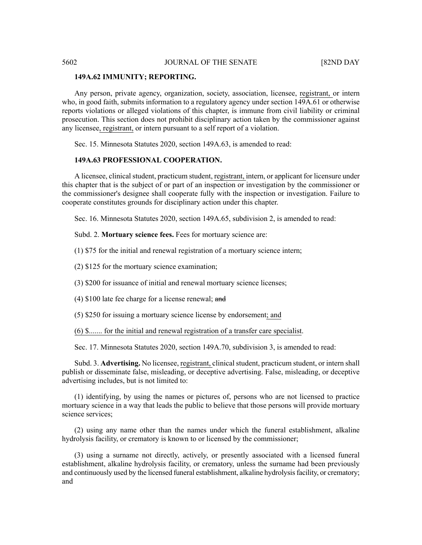#### **149A.62 IMMUNITY; REPORTING.**

Any person, private agency, organization, society, association, licensee, registrant, or intern who, in good faith, submits information to a regulatory agency under section 149A.61 or otherwise reports violations or alleged violations of this chapter, is immune from civil liability or criminal prosecution. This section does not prohibit disciplinary action taken by the commissioner against any licensee, registrant, or intern pursuant to a self report of a violation.

Sec. 15. Minnesota Statutes 2020, section 149A.63, is amended to read:

# **149A.63 PROFESSIONAL COOPERATION.**

A licensee, clinical student, practicum student, registrant, intern, or applicant for licensure under this chapter that is the subject of or part of an inspection or investigation by the commissioner or the commissioner's designee shall cooperate fully with the inspection or investigation. Failure to cooperate constitutes grounds for disciplinary action under this chapter.

Sec. 16. Minnesota Statutes 2020, section 149A.65, subdivision 2, is amended to read:

Subd. 2. **Mortuary science fees.** Fees for mortuary science are:

(1) \$75 for the initial and renewal registration of a mortuary science intern;

(2) \$125 for the mortuary science examination;

(3) \$200 for issuance of initial and renewal mortuary science licenses;

(4) \$100 late fee charge for a license renewal; and

(5) \$250 for issuing a mortuary science license by endorsement; and

(6) \$....... for the initial and renewal registration of a transfer care specialist.

Sec. 17. Minnesota Statutes 2020, section 149A.70, subdivision 3, is amended to read:

Subd. 3. **Advertising.** No licensee, registrant, clinical student, practicum student, or intern shall publish or disseminate false, misleading, or deceptive advertising. False, misleading, or deceptive advertising includes, but is not limited to:

(1) identifying, by using the names or pictures of, persons who are not licensed to practice mortuary science in a way that leads the public to believe that those persons will provide mortuary science services;

(2) using any name other than the names under which the funeral establishment, alkaline hydrolysis facility, or crematory is known to or licensed by the commissioner;

(3) using a surname not directly, actively, or presently associated with a licensed funeral establishment, alkaline hydrolysis facility, or crematory, unless the surname had been previously and continuously used by the licensed funeral establishment, alkaline hydrolysisfacility, or crematory; and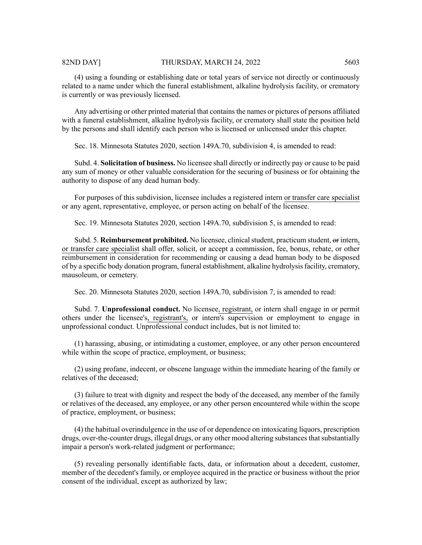#### 82ND DAY] THURSDAY, MARCH 24, 2022 5603

(4) using a founding or establishing date or total years of service not directly or continuously related to a name under which the funeral establishment, alkaline hydrolysis facility, or crematory is currently or was previously licensed.

Any advertising or other printed material that containsthe names or pictures of persons affiliated with a funeral establishment, alkaline hydrolysis facility, or crematory shall state the position held by the persons and shall identify each person who is licensed or unlicensed under this chapter.

Sec. 18. Minnesota Statutes 2020, section 149A.70, subdivision 4, is amended to read:

Subd. 4. **Solicitation of business.** No licensee shall directly or indirectly pay or cause to be paid any sum of money or other valuable consideration for the securing of business or for obtaining the authority to dispose of any dead human body.

For purposes of this subdivision, licensee includes a registered intern or transfer care specialist or any agent, representative, employee, or person acting on behalf of the licensee.

Sec. 19. Minnesota Statutes 2020, section 149A.70, subdivision 5, is amended to read:

Subd. 5. **Reimbursement prohibited.** No licensee, clinicalstudent, practicum student, or intern, or transfer care specialist shall offer, solicit, or accept a commission, fee, bonus, rebate, or other reimbursement in consideration for recommending or causing a dead human body to be disposed of by a specific body donation program, funeral establishment, alkaline hydrolysisfacility, crematory, mausoleum, or cemetery.

Sec. 20. Minnesota Statutes 2020, section 149A.70, subdivision 7, is amended to read:

Subd. 7. **Unprofessional conduct.** No licensee, registrant, or intern shall engage in or permit others under the licensee's, registrant's, or intern's supervision or employment to engage in unprofessional conduct. Unprofessional conduct includes, but is not limited to:

(1) harassing, abusing, or intimidating a customer, employee, or any other person encountered while within the scope of practice, employment, or business;

(2) using profane, indecent, or obscene language within the immediate hearing of the family or relatives of the deceased;

(3) failure to treat with dignity and respect the body of the deceased, any member of the family or relatives of the deceased, any employee, or any other person encountered while within the scope of practice, employment, or business;

(4) the habitual overindulgence in the use of or dependence on intoxicating liquors, prescription drugs, over-the-counter drugs, illegal drugs, or any other mood altering substances that substantially impair a person's work-related judgment or performance;

(5) revealing personally identifiable facts, data, or information about a decedent, customer, member of the decedent's family, or employee acquired in the practice or business without the prior consent of the individual, except as authorized by law;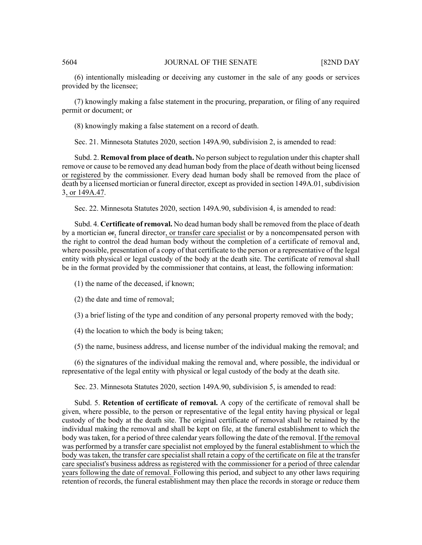(6) intentionally misleading or deceiving any customer in the sale of any goods or services provided by the licensee;

(7) knowingly making a false statement in the procuring, preparation, or filing of any required permit or document; or

(8) knowingly making a false statement on a record of death.

Sec. 21. Minnesota Statutes 2020, section 149A.90, subdivision 2, is amended to read:

Subd. 2. **Removal from place of death.** No person subject to regulation under this chapter shall remove or cause to be removed any dead human body from the place of death without being licensed or registered by the commissioner. Every dead human body shall be removed from the place of death by a licensed mortician or funeral director, except as provided in section 149A.01, subdivision 3, or 149A.47.

Sec. 22. Minnesota Statutes 2020, section 149A.90, subdivision 4, is amended to read:

Subd. 4. **Certificate of removal.** No dead human body shall be removed from the place of death by a mortician or, funeral director, or transfer care specialist or by a noncompensated person with the right to control the dead human body without the completion of a certificate of removal and, where possible, presentation of a copy of that certificate to the person or a representative of the legal entity with physical or legal custody of the body at the death site. The certificate of removal shall be in the format provided by the commissioner that contains, at least, the following information:

- (1) the name of the deceased, if known;
- (2) the date and time of removal;
- (3) a brief listing of the type and condition of any personal property removed with the body;
- (4) the location to which the body is being taken;

(5) the name, business address, and license number of the individual making the removal; and

(6) the signatures of the individual making the removal and, where possible, the individual or representative of the legal entity with physical or legal custody of the body at the death site.

Sec. 23. Minnesota Statutes 2020, section 149A.90, subdivision 5, is amended to read:

Subd. 5. **Retention of certificate of removal.** A copy of the certificate of removal shall be given, where possible, to the person or representative of the legal entity having physical or legal custody of the body at the death site. The original certificate of removal shall be retained by the individual making the removal and shall be kept on file, at the funeral establishment to which the body was taken, for a period of three calendar years following the date of the removal. If the removal was performed by a transfer care specialist not employed by the funeral establishment to which the body was taken, the transfer care specialist shall retain a copy of the certificate on file at the transfer care specialist's business address as registered with the commissioner for a period of three calendar years following the date of removal. Following this period, and subject to any other laws requiring retention of records, the funeral establishment may then place the records in storage or reduce them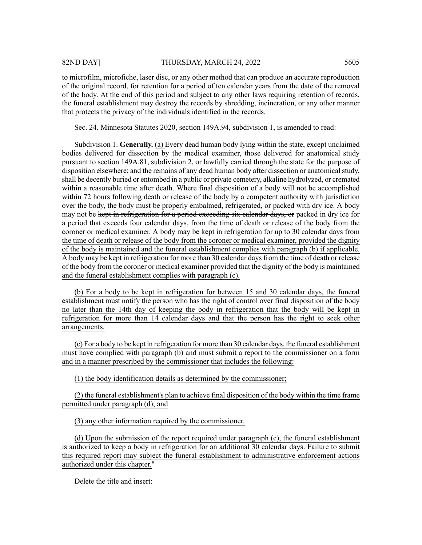# 82ND DAY] THURSDAY, MARCH 24, 2022 5605

that protects the privacy of the individuals identified in the records.

to microfilm, microfiche, laser disc, or any other method that can produce an accurate reproduction of the original record, for retention for a period of ten calendar years from the date of the removal of the body. At the end of this period and subject to any other laws requiring retention of records, the funeral establishment may destroy the records by shredding, incineration, or any other manner

Sec. 24. Minnesota Statutes 2020, section 149A.94, subdivision 1, is amended to read:

Subdivision 1. **Generally.** (a) Every dead human body lying within the state, except unclaimed bodies delivered for dissection by the medical examiner, those delivered for anatomical study pursuant to section 149A.81, subdivision 2, or lawfully carried through the state for the purpose of disposition elsewhere; and the remains of any dead human body after dissection or anatomical study, shall be decently buried or entombed in a public or private cemetery, alkaline hydrolyzed, or cremated within a reasonable time after death. Where final disposition of a body will not be accomplished within 72 hours following death or release of the body by a competent authority with jurisdiction over the body, the body must be properly embalmed, refrigerated, or packed with dry ice. A body may not be kept in refrigeration for a period exceeding six calendar days, or packed in dry ice for a period that exceeds four calendar days, from the time of death or release of the body from the coroner or medical examiner. A body may be kept in refrigeration for up to 30 calendar days from the time of death or release of the body from the coroner or medical examiner, provided the dignity of the body is maintained and the funeral establishment complies with paragraph (b) if applicable. A body may be kept in refrigeration for more than 30 calendar days from the time of death or release of the body from the coroner or medical examiner provided that the dignity of the body is maintained and the funeral establishment complies with paragraph (c).

(b) For a body to be kept in refrigeration for between 15 and 30 calendar days, the funeral establishment must notify the person who has the right of control over final disposition of the body no later than the 14th day of keeping the body in refrigeration that the body will be kept in refrigeration for more than 14 calendar days and that the person has the right to seek other arrangements.

(c) For a body to be kept in refrigeration for more than 30 calendar days, the funeral establishment must have complied with paragraph (b) and must submit a report to the commissioner on a form and in a manner prescribed by the commissioner that includes the following:

(1) the body identification details as determined by the commissioner;

(2) the funeral establishment's plan to achieve final disposition of the body within the time frame permitted under paragraph (d); and

(3) any other information required by the commissioner.

(d) Upon the submission of the report required under paragraph (c), the funeral establishment is authorized to keep a body in refrigeration for an additional 30 calendar days. Failure to submit this required report may subject the funeral establishment to administrative enforcement actions authorized under this chapter."

Delete the title and insert: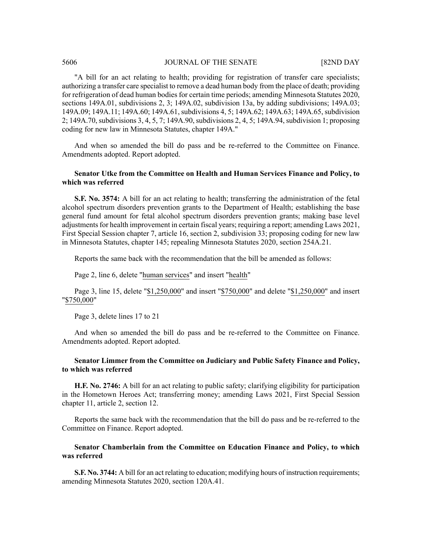"A bill for an act relating to health; providing for registration of transfer care specialists; authorizing a transfer care specialist to remove a dead human body from the place of death; providing for refrigeration of dead human bodies for certain time periods; amending Minnesota Statutes 2020, sections 149A.01, subdivisions 2, 3; 149A.02, subdivision 13a, by adding subdivisions; 149A.03; 149A.09; 149A.11; 149A.60; 149A.61, subdivisions 4, 5; 149A.62; 149A.63; 149A.65, subdivision 2; 149A.70, subdivisions 3, 4, 5, 7; 149A.90, subdivisions 2, 4, 5; 149A.94, subdivision 1; proposing coding for new law in Minnesota Statutes, chapter 149A."

And when so amended the bill do pass and be re-referred to the Committee on Finance. Amendments adopted. Report adopted.

# **Senator Utke from the Committee on Health and Human Services Finance and Policy, to which was referred**

**S.F. No. 3574:** A bill for an act relating to health; transferring the administration of the fetal alcohol spectrum disorders prevention grants to the Department of Health; establishing the base general fund amount for fetal alcohol spectrum disorders prevention grants; making base level adjustments for health improvement in certain fiscal years; requiring a report; amending Laws 2021, First Special Session chapter 7, article 16, section 2, subdivision 33; proposing coding for new law in Minnesota Statutes, chapter 145; repealing Minnesota Statutes 2020, section 254A.21.

Reports the same back with the recommendation that the bill be amended as follows:

Page 2, line 6, delete "human services" and insert "health"

Page 3, line 15, delete "\$1,250,000" and insert "\$750,000" and delete "\$1,250,000" and insert "\$750,000"

Page 3, delete lines 17 to 21

And when so amended the bill do pass and be re-referred to the Committee on Finance. Amendments adopted. Report adopted.

# **Senator Limmer from the Committee on Judiciary and Public Safety Finance and Policy, to which was referred**

**H.F. No. 2746:** A bill for an act relating to public safety; clarifying eligibility for participation in the Hometown Heroes Act; transferring money; amending Laws 2021, First Special Session chapter 11, article 2, section 12.

Reports the same back with the recommendation that the bill do pass and be re-referred to the Committee on Finance. Report adopted.

# **Senator Chamberlain from the Committee on Education Finance and Policy, to which was referred**

**S.F. No. 3744:** A bill for an act relating to education; modifying hours of instruction requirements; amending Minnesota Statutes 2020, section 120A.41.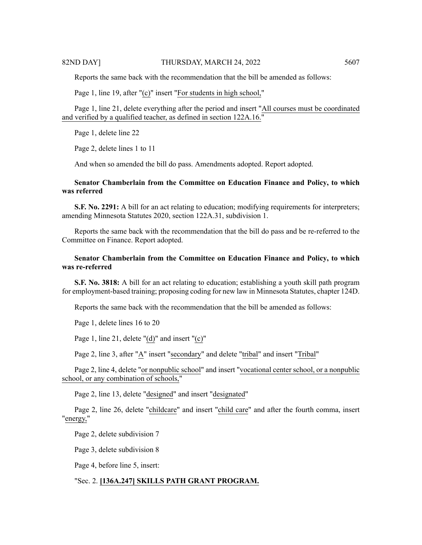Reports the same back with the recommendation that the bill be amended as follows:

Page 1, line 19, after "(c)" insert "For students in high school,"

Page 1, line 21, delete everything after the period and insert "All courses must be coordinated and verified by a qualified teacher, as defined in section 122A.16."

Page 1, delete line 22

Page 2, delete lines 1 to 11

And when so amended the bill do pass. Amendments adopted. Report adopted.

# **Senator Chamberlain from the Committee on Education Finance and Policy, to which was referred**

**S.F. No. 2291:** A bill for an act relating to education; modifying requirements for interpreters; amending Minnesota Statutes 2020, section 122A.31, subdivision 1.

Reports the same back with the recommendation that the bill do pass and be re-referred to the Committee on Finance. Report adopted.

# **Senator Chamberlain from the Committee on Education Finance and Policy, to which was re-referred**

**S.F. No. 3818:** A bill for an act relating to education; establishing a youth skill path program for employment-based training; proposing coding for new law in Minnesota Statutes, chapter 124D.

Reports the same back with the recommendation that the bill be amended as follows:

Page 1, delete lines 16 to 20

Page 1, line 21, delete "(d)" and insert "(c)"

Page 2, line 3, after "A" insert "secondary" and delete "tribal" and insert "Tribal"

Page 2, line 4, delete "or nonpublic school" and insert "vocational center school, or a nonpublic school, or any combination of schools,"

Page 2, line 13, delete "designed" and insert "designated"

Page 2, line 26, delete "childcare" and insert "child care" and after the fourth comma, insert "energy,"

Page 2, delete subdivision 7

Page 3, delete subdivision 8

Page 4, before line 5, insert:

# "Sec. 2. **[136A.247] SKILLS PATH GRANT PROGRAM.**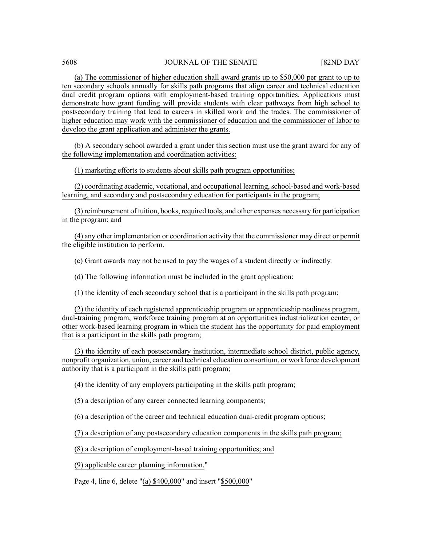(a) The commissioner of higher education shall award grants up to \$50,000 per grant to up to ten secondary schools annually for skills path programs that align career and technical education dual credit program options with employment-based training opportunities. Applications must demonstrate how grant funding will provide students with clear pathways from high school to postsecondary training that lead to careers in skilled work and the trades. The commissioner of higher education may work with the commissioner of education and the commissioner of labor to develop the grant application and administer the grants.

(b) A secondary school awarded a grant under this section must use the grant award for any of the following implementation and coordination activities:

(1) marketing efforts to students about skills path program opportunities;

(2) coordinating academic, vocational, and occupational learning, school-based and work-based learning, and secondary and postsecondary education for participants in the program;

(3) reimbursement of tuition, books, required tools, and other expenses necessary for participation in the program; and

(4) any other implementation or coordination activity that the commissioner may direct or permit the eligible institution to perform.

(c) Grant awards may not be used to pay the wages of a student directly or indirectly.

(d) The following information must be included in the grant application:

(1) the identity of each secondary school that is a participant in the skills path program;

(2) the identity of each registered apprenticeship program or apprenticeship readiness program, dual-training program, workforce training program at an opportunities industrialization center, or other work-based learning program in which the student has the opportunity for paid employment that is a participant in the skills path program;

(3) the identity of each postsecondary institution, intermediate school district, public agency, nonprofit organization, union, career and technical education consortium, or workforce development authority that is a participant in the skills path program;

(4) the identity of any employers participating in the skills path program;

(5) a description of any career connected learning components;

(6) a description of the career and technical education dual-credit program options;

(7) a description of any postsecondary education components in the skills path program;

(8) a description of employment-based training opportunities; and

(9) applicable career planning information."

Page 4, line 6, delete "(a) \$400,000" and insert "\$500,000"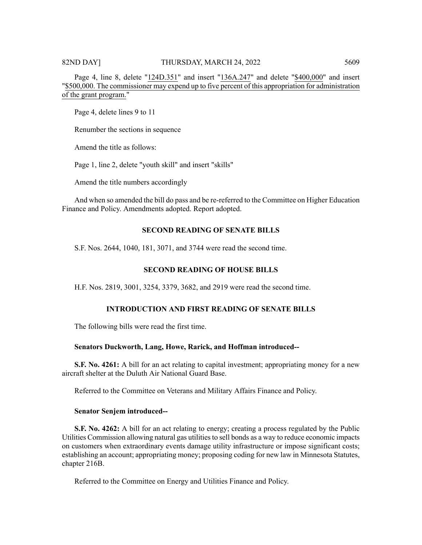Page 4, line 8, delete "124D.351" and insert "136A.247" and delete "\$400,000" and insert "\$500,000. The commissioner may expend up to five percent of this appropriation for administration of the grant program."

Page 4, delete lines 9 to 11

Renumber the sections in sequence

Amend the title as follows:

Page 1, line 2, delete "youth skill" and insert "skills"

Amend the title numbers accordingly

And when so amended the bill do pass and be re-referred to the Committee on Higher Education Finance and Policy. Amendments adopted. Report adopted.

# **SECOND READING OF SENATE BILLS**

S.F. Nos. 2644, 1040, 181, 3071, and 3744 were read the second time.

# **SECOND READING OF HOUSE BILLS**

H.F. Nos. 2819, 3001, 3254, 3379, 3682, and 2919 were read the second time.

# **INTRODUCTION AND FIRST READING OF SENATE BILLS**

The following bills were read the first time.

#### **Senators Duckworth, Lang, Howe, Rarick, and Hoffman introduced--**

**S.F. No. 4261:** A bill for an act relating to capital investment; appropriating money for a new aircraft shelter at the Duluth Air National Guard Base.

Referred to the Committee on Veterans and Military Affairs Finance and Policy.

#### **Senator Senjem introduced--**

**S.F. No. 4262:** A bill for an act relating to energy; creating a process regulated by the Public Utilities Commission allowing natural gas utilitiesto sell bonds as a way to reduce economic impacts on customers when extraordinary events damage utility infrastructure or impose significant costs; establishing an account; appropriating money; proposing coding for new law in Minnesota Statutes, chapter 216B.

Referred to the Committee on Energy and Utilities Finance and Policy.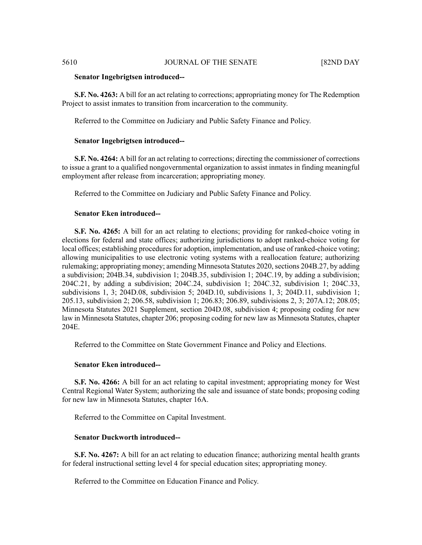#### **Senator Ingebrigtsen introduced--**

**S.F. No. 4263:** A bill for an act relating to corrections; appropriating money for The Redemption Project to assist inmates to transition from incarceration to the community.

Referred to the Committee on Judiciary and Public Safety Finance and Policy.

# **Senator Ingebrigtsen introduced--**

**S.F. No. 4264:** A bill for an act relating to corrections; directing the commissioner of corrections to issue a grant to a qualified nongovernmental organization to assist inmates in finding meaningful employment after release from incarceration; appropriating money.

Referred to the Committee on Judiciary and Public Safety Finance and Policy.

# **Senator Eken introduced--**

**S.F. No. 4265:** A bill for an act relating to elections; providing for ranked-choice voting in elections for federal and state offices; authorizing jurisdictions to adopt ranked-choice voting for local offices; establishing procedures for adoption, implementation, and use of ranked-choice voting; allowing municipalities to use electronic voting systems with a reallocation feature; authorizing rulemaking; appropriating money; amending Minnesota Statutes 2020, sections 204B.27, by adding a subdivision; 204B.34, subdivision 1; 204B.35, subdivision 1; 204C.19, by adding a subdivision; 204C.21, by adding a subdivision; 204C.24, subdivision 1; 204C.32, subdivision 1; 204C.33, subdivisions 1, 3; 204D.08, subdivision 5; 204D.10, subdivisions 1, 3; 204D.11, subdivision 1; 205.13, subdivision 2; 206.58, subdivision 1; 206.83; 206.89, subdivisions 2, 3; 207A.12; 208.05; Minnesota Statutes 2021 Supplement, section 204D.08, subdivision 4; proposing coding for new law in Minnesota Statutes, chapter 206; proposing coding for new law as Minnesota Statutes, chapter 204E.

Referred to the Committee on State Government Finance and Policy and Elections.

# **Senator Eken introduced--**

**S.F. No. 4266:** A bill for an act relating to capital investment; appropriating money for West Central Regional Water System; authorizing the sale and issuance of state bonds; proposing coding for new law in Minnesota Statutes, chapter 16A.

Referred to the Committee on Capital Investment.

# **Senator Duckworth introduced--**

**S.F. No. 4267:** A bill for an act relating to education finance; authorizing mental health grants for federal instructional setting level 4 for special education sites; appropriating money.

Referred to the Committee on Education Finance and Policy.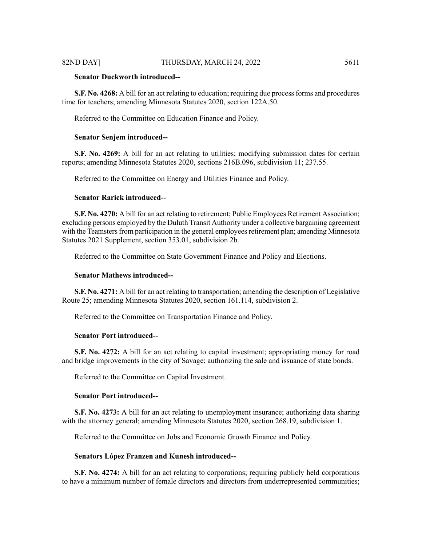# **Senator Duckworth introduced--**

**S.F. No. 4268:** A bill for an act relating to education; requiring due processforms and procedures time for teachers; amending Minnesota Statutes 2020, section 122A.50.

Referred to the Committee on Education Finance and Policy.

### **Senator Senjem introduced--**

**S.F. No. 4269:** A bill for an act relating to utilities; modifying submission dates for certain reports; amending Minnesota Statutes 2020, sections 216B.096, subdivision 11; 237.55.

Referred to the Committee on Energy and Utilities Finance and Policy.

# **Senator Rarick introduced--**

**S.F. No. 4270:** A bill for an act relating to retirement; Public Employees Retirement Association; excluding persons employed by the Duluth Transit Authority under a collective bargaining agreement with the Teamsters from participation in the general employees retirement plan; amending Minnesota Statutes 2021 Supplement, section 353.01, subdivision 2b.

Referred to the Committee on State Government Finance and Policy and Elections.

#### **Senator Mathews introduced--**

**S.F. No. 4271:** A bill for an act relating to transportation; amending the description of Legislative Route 25; amending Minnesota Statutes 2020, section 161.114, subdivision 2.

Referred to the Committee on Transportation Finance and Policy.

#### **Senator Port introduced--**

**S.F. No. 4272:** A bill for an act relating to capital investment; appropriating money for road and bridge improvements in the city of Savage; authorizing the sale and issuance of state bonds.

Referred to the Committee on Capital Investment.

#### **Senator Port introduced--**

**S.F. No. 4273:** A bill for an act relating to unemployment insurance; authorizing data sharing with the attorney general; amending Minnesota Statutes 2020, section 268.19, subdivision 1.

Referred to the Committee on Jobs and Economic Growth Finance and Policy.

#### **Senators López Franzen and Kunesh introduced--**

**S.F. No. 4274:** A bill for an act relating to corporations; requiring publicly held corporations to have a minimum number of female directors and directors from underrepresented communities;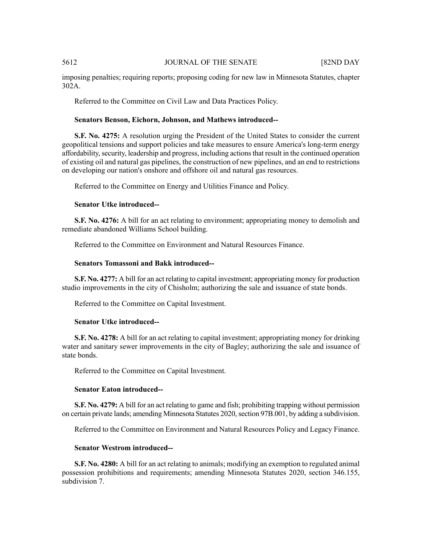imposing penalties; requiring reports; proposing coding for new law in Minnesota Statutes, chapter 302A.

Referred to the Committee on Civil Law and Data Practices Policy.

#### **Senators Benson, Eichorn, Johnson, and Mathews introduced--**

**S.F. No. 4275:** A resolution urging the President of the United States to consider the current geopolitical tensions and support policies and take measures to ensure America's long-term energy affordability, security, leadership and progress, including actions that result in the continued operation of existing oil and natural gas pipelines, the construction of new pipelines, and an end to restrictions on developing our nation's onshore and offshore oil and natural gas resources.

Referred to the Committee on Energy and Utilities Finance and Policy.

# **Senator Utke introduced--**

**S.F. No. 4276:** A bill for an act relating to environment; appropriating money to demolish and remediate abandoned Williams School building.

Referred to the Committee on Environment and Natural Resources Finance.

# **Senators Tomassoni and Bakk introduced--**

**S.F. No. 4277:** A bill for an act relating to capital investment; appropriating money for production studio improvements in the city of Chisholm; authorizing the sale and issuance of state bonds.

Referred to the Committee on Capital Investment.

# **Senator Utke introduced--**

**S.F. No. 4278:** A bill for an act relating to capital investment; appropriating money for drinking water and sanitary sewer improvements in the city of Bagley; authorizing the sale and issuance of state bonds.

Referred to the Committee on Capital Investment.

#### **Senator Eaton introduced--**

**S.F. No. 4279:** A bill for an act relating to game and fish; prohibiting trapping without permission on certain private lands; amending Minnesota Statutes 2020, section 97B.001, by adding a subdivision.

Referred to the Committee on Environment and Natural Resources Policy and Legacy Finance.

#### **Senator Westrom introduced--**

**S.F. No. 4280:** A bill for an act relating to animals; modifying an exemption to regulated animal possession prohibitions and requirements; amending Minnesota Statutes 2020, section 346.155, subdivision 7.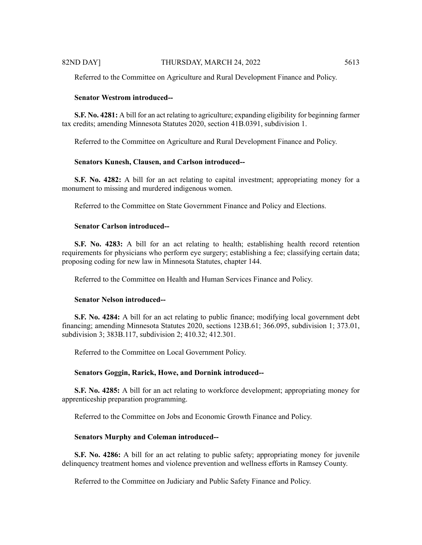Referred to the Committee on Agriculture and Rural Development Finance and Policy.

#### **Senator Westrom introduced--**

**S.F. No. 4281:** A bill for an act relating to agriculture; expanding eligibility for beginning farmer tax credits; amending Minnesota Statutes 2020, section 41B.0391, subdivision 1.

Referred to the Committee on Agriculture and Rural Development Finance and Policy.

# **Senators Kunesh, Clausen, and Carlson introduced--**

**S.F. No. 4282:** A bill for an act relating to capital investment; appropriating money for a monument to missing and murdered indigenous women.

Referred to the Committee on State Government Finance and Policy and Elections.

### **Senator Carlson introduced--**

**S.F. No. 4283:** A bill for an act relating to health; establishing health record retention requirements for physicians who perform eye surgery; establishing a fee; classifying certain data; proposing coding for new law in Minnesota Statutes, chapter 144.

Referred to the Committee on Health and Human Services Finance and Policy.

# **Senator Nelson introduced--**

**S.F. No. 4284:** A bill for an act relating to public finance; modifying local government debt financing; amending Minnesota Statutes 2020, sections 123B.61; 366.095, subdivision 1; 373.01, subdivision 3; 383B.117, subdivision 2; 410.32; 412.301.

Referred to the Committee on Local Government Policy.

#### **Senators Goggin, Rarick, Howe, and Dornink introduced--**

**S.F. No. 4285:** A bill for an act relating to workforce development; appropriating money for apprenticeship preparation programming.

Referred to the Committee on Jobs and Economic Growth Finance and Policy.

# **Senators Murphy and Coleman introduced--**

**S.F. No. 4286:** A bill for an act relating to public safety; appropriating money for juvenile delinquency treatment homes and violence prevention and wellness efforts in Ramsey County.

Referred to the Committee on Judiciary and Public Safety Finance and Policy.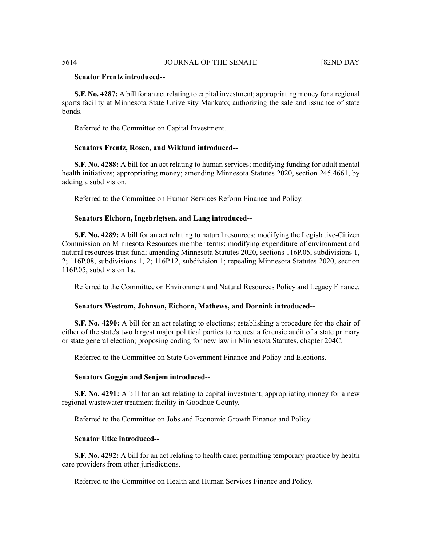# **Senator Frentz introduced--**

**S.F. No. 4287:** A bill for an act relating to capital investment; appropriating money for a regional sports facility at Minnesota State University Mankato; authorizing the sale and issuance of state bonds.

Referred to the Committee on Capital Investment.

# **Senators Frentz, Rosen, and Wiklund introduced--**

**S.F. No. 4288:** A bill for an act relating to human services; modifying funding for adult mental health initiatives; appropriating money; amending Minnesota Statutes 2020, section 245.4661, by adding a subdivision.

Referred to the Committee on Human Services Reform Finance and Policy.

# **Senators Eichorn, Ingebrigtsen, and Lang introduced--**

**S.F. No. 4289:** A bill for an act relating to natural resources; modifying the Legislative-Citizen Commission on Minnesota Resources member terms; modifying expenditure of environment and natural resources trust fund; amending Minnesota Statutes 2020, sections 116P.05, subdivisions 1, 2; 116P.08, subdivisions 1, 2; 116P.12, subdivision 1; repealing Minnesota Statutes 2020, section 116P.05, subdivision 1a.

Referred to the Committee on Environment and Natural Resources Policy and Legacy Finance.

#### **Senators Westrom, Johnson, Eichorn, Mathews, and Dornink introduced--**

**S.F. No. 4290:** A bill for an act relating to elections; establishing a procedure for the chair of either of the state's two largest major political parties to request a forensic audit of a state primary or state general election; proposing coding for new law in Minnesota Statutes, chapter 204C.

Referred to the Committee on State Government Finance and Policy and Elections.

#### **Senators Goggin and Senjem introduced--**

**S.F. No. 4291:** A bill for an act relating to capital investment; appropriating money for a new regional wastewater treatment facility in Goodhue County.

Referred to the Committee on Jobs and Economic Growth Finance and Policy.

# **Senator Utke introduced--**

**S.F. No. 4292:** A bill for an act relating to health care; permitting temporary practice by health care providers from other jurisdictions.

Referred to the Committee on Health and Human Services Finance and Policy.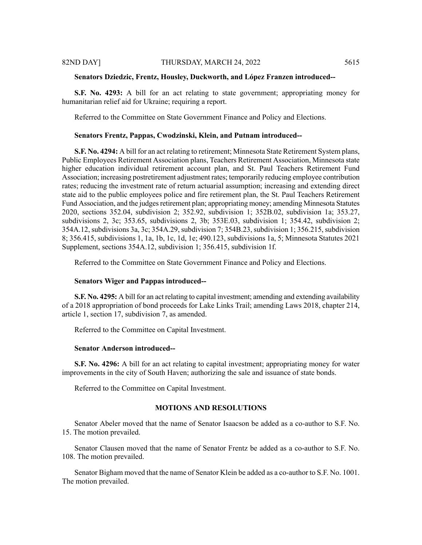#### **Senators Dziedzic, Frentz, Housley, Duckworth, and López Franzen introduced--**

**S.F. No. 4293:** A bill for an act relating to state government; appropriating money for humanitarian relief aid for Ukraine; requiring a report.

Referred to the Committee on State Government Finance and Policy and Elections.

#### **Senators Frentz, Pappas, Cwodzinski, Klein, and Putnam introduced--**

**S.F. No. 4294:** A bill for an act relating to retirement; Minnesota State Retirement System plans, Public Employees Retirement Association plans, Teachers Retirement Association, Minnesota state higher education individual retirement account plan, and St. Paul Teachers Retirement Fund Association; increasing postretirement adjustment rates; temporarily reducing employee contribution rates; reducing the investment rate of return actuarial assumption; increasing and extending direct state aid to the public employees police and fire retirement plan, the St. Paul Teachers Retirement Fund Association, and the judges retirement plan; appropriating money; amending Minnesota Statutes 2020, sections 352.04, subdivision 2; 352.92, subdivision 1; 352B.02, subdivision 1a; 353.27, subdivisions 2, 3c; 353.65, subdivisions 2, 3b; 353E.03, subdivision 1; 354.42, subdivision 2; 354A.12, subdivisions 3a, 3c; 354A.29, subdivision 7; 354B.23, subdivision 1; 356.215, subdivision 8; 356.415, subdivisions 1, 1a, 1b, 1c, 1d, 1e; 490.123, subdivisions 1a, 5; Minnesota Statutes 2021 Supplement, sections 354A.12, subdivision 1; 356.415, subdivision 1f.

Referred to the Committee on State Government Finance and Policy and Elections.

# **Senators Wiger and Pappas introduced--**

**S.F. No. 4295:** A bill for an act relating to capital investment; amending and extending availability of a 2018 appropriation of bond proceeds for Lake Links Trail; amending Laws 2018, chapter 214, article 1, section 17, subdivision 7, as amended.

Referred to the Committee on Capital Investment.

# **Senator Anderson introduced--**

**S.F. No. 4296:** A bill for an act relating to capital investment; appropriating money for water improvements in the city of South Haven; authorizing the sale and issuance of state bonds.

Referred to the Committee on Capital Investment.

#### **MOTIONS AND RESOLUTIONS**

Senator Abeler moved that the name of Senator Isaacson be added as a co-author to S.F. No. 15. The motion prevailed.

Senator Clausen moved that the name of Senator Frentz be added as a co-author to S.F. No. 108. The motion prevailed.

Senator Bigham moved that the name of Senator Klein be added as a co-author to S.F. No. 1001. The motion prevailed.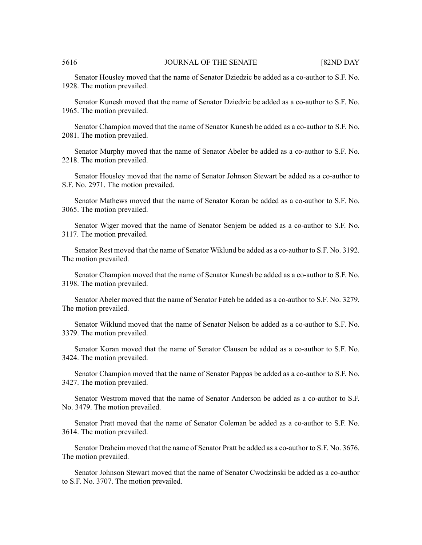Senator Housley moved that the name of Senator Dziedzic be added as a co-author to S.F. No. 1928. The motion prevailed.

Senator Kunesh moved that the name of Senator Dziedzic be added as a co-author to S.F. No. 1965. The motion prevailed.

Senator Champion moved that the name of Senator Kunesh be added as a co-author to S.F. No. 2081. The motion prevailed.

Senator Murphy moved that the name of Senator Abeler be added as a co-author to S.F. No. 2218. The motion prevailed.

Senator Housley moved that the name of Senator Johnson Stewart be added as a co-author to S.F. No. 2971. The motion prevailed.

Senator Mathews moved that the name of Senator Koran be added as a co-author to S.F. No. 3065. The motion prevailed.

Senator Wiger moved that the name of Senator Senjem be added as a co-author to S.F. No. 3117. The motion prevailed.

Senator Rest moved that the name of Senator Wiklund be added as a co-author to S.F. No. 3192. The motion prevailed.

Senator Champion moved that the name of Senator Kunesh be added as a co-author to S.F. No. 3198. The motion prevailed.

Senator Abeler moved that the name of Senator Fateh be added as a co-author to S.F. No. 3279. The motion prevailed.

Senator Wiklund moved that the name of Senator Nelson be added as a co-author to S.F. No. 3379. The motion prevailed.

Senator Koran moved that the name of Senator Clausen be added as a co-author to S.F. No. 3424. The motion prevailed.

Senator Champion moved that the name of Senator Pappas be added as a co-author to S.F. No. 3427. The motion prevailed.

Senator Westrom moved that the name of Senator Anderson be added as a co-author to S.F. No. 3479. The motion prevailed.

Senator Pratt moved that the name of Senator Coleman be added as a co-author to S.F. No. 3614. The motion prevailed.

Senator Draheim moved that the name of Senator Pratt be added as a co-author to S.F. No. 3676. The motion prevailed.

Senator Johnson Stewart moved that the name of Senator Cwodzinski be added as a co-author to S.F. No. 3707. The motion prevailed.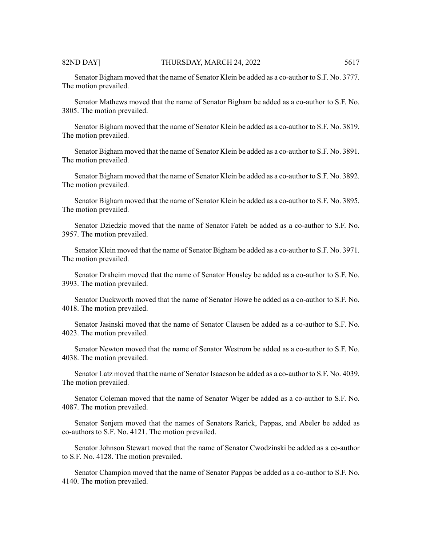Senator Bigham moved that the name of Senator Klein be added as a co-author to S.F. No. 3777. The motion prevailed.

Senator Mathews moved that the name of Senator Bigham be added as a co-author to S.F. No. 3805. The motion prevailed.

Senator Bigham moved that the name of Senator Klein be added as a co-author to S.F. No. 3819. The motion prevailed.

Senator Bigham moved that the name of Senator Klein be added as a co-author to S.F. No. 3891. The motion prevailed.

Senator Bigham moved that the name of Senator Klein be added as a co-author to S.F. No. 3892. The motion prevailed.

Senator Bigham moved that the name of Senator Klein be added as a co-author to S.F. No. 3895. The motion prevailed.

Senator Dziedzic moved that the name of Senator Fateh be added as a co-author to S.F. No. 3957. The motion prevailed.

Senator Klein moved that the name of Senator Bigham be added as a co-author to S.F. No. 3971. The motion prevailed.

Senator Draheim moved that the name of Senator Housley be added as a co-author to S.F. No. 3993. The motion prevailed.

Senator Duckworth moved that the name of Senator Howe be added as a co-author to S.F. No. 4018. The motion prevailed.

Senator Jasinski moved that the name of Senator Clausen be added as a co-author to S.F. No. 4023. The motion prevailed.

Senator Newton moved that the name of Senator Westrom be added as a co-author to S.F. No. 4038. The motion prevailed.

Senator Latz moved that the name of Senator Isaacson be added as a co-author to S.F. No. 4039. The motion prevailed.

Senator Coleman moved that the name of Senator Wiger be added as a co-author to S.F. No. 4087. The motion prevailed.

Senator Senjem moved that the names of Senators Rarick, Pappas, and Abeler be added as co-authors to S.F. No. 4121. The motion prevailed.

Senator Johnson Stewart moved that the name of Senator Cwodzinski be added as a co-author to S.F. No. 4128. The motion prevailed.

Senator Champion moved that the name of Senator Pappas be added as a co-author to S.F. No. 4140. The motion prevailed.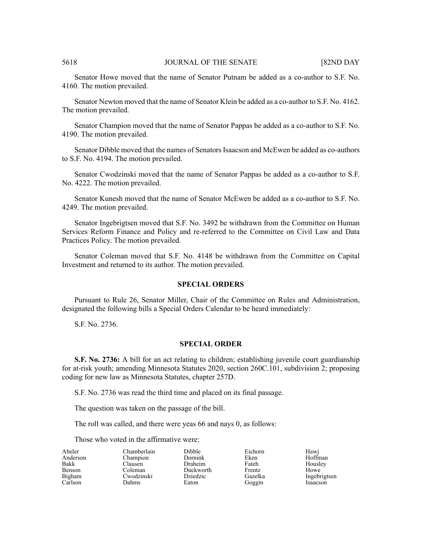Senator Howe moved that the name of Senator Putnam be added as a co-author to S.F. No. 4160. The motion prevailed.

Senator Newton moved that the name of Senator Klein be added as a co-author to S.F. No. 4162. The motion prevailed.

Senator Champion moved that the name of Senator Pappas be added as a co-author to S.F. No. 4190. The motion prevailed.

Senator Dibble moved that the names of Senators Isaacson and McEwen be added as co-authors to S.F. No. 4194. The motion prevailed.

Senator Cwodzinski moved that the name of Senator Pappas be added as a co-author to S.F. No. 4222. The motion prevailed.

Senator Kunesh moved that the name of Senator McEwen be added as a co-author to S.F. No. 4249. The motion prevailed.

Senator Ingebrigtsen moved that S.F. No. 3492 be withdrawn from the Committee on Human Services Reform Finance and Policy and re-referred to the Committee on Civil Law and Data Practices Policy. The motion prevailed.

Senator Coleman moved that S.F. No. 4148 be withdrawn from the Committee on Capital Investment and returned to its author. The motion prevailed.

# **SPECIAL ORDERS**

Pursuant to Rule 26, Senator Miller, Chair of the Committee on Rules and Administration, designated the following bills a Special Orders Calendar to be heard immediately:

S.F. No. 2736.

# **SPECIAL ORDER**

**S.F. No. 2736:** A bill for an act relating to children; establishing juvenile court guardianship for at-risk youth; amending Minnesota Statutes 2020, section 260C.101, subdivision 2; proposing coding for new law as Minnesota Statutes, chapter 257D.

S.F. No. 2736 was read the third time and placed on its final passage.

The question was taken on the passage of the bill.

The roll was called, and there were yeas 66 and nays 0, as follows:

Dibble Dornink Draheim Duckworth Dziedzic Eaton

Those who voted in the affirmative were:

| Abeler        |  |
|---------------|--|
| Anderson      |  |
| Bakk          |  |
| <b>Benson</b> |  |
| Bigham        |  |
| Carlson       |  |

Chamberlain Champion Clausen Coleman Cwodzinski Dahms

Eichorn Eken Fateh Frentz Gazelka Goggin

Hawj Hoffman Housley Howe Ingebrigtsen Isaacson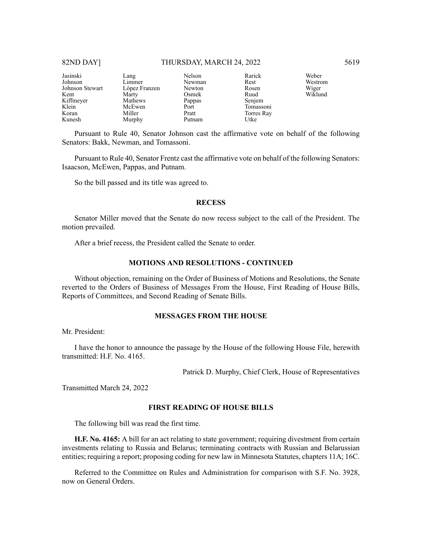#### 82ND DAY] THURSDAY, MARCH 24, 2022 5619

| Jasinski        | Lang          | Nelson | Rarick     |
|-----------------|---------------|--------|------------|
| Johnson         | Limmer        | Newman | Rest       |
| Johnson Stewart | López Franzen | Newton | Rosen      |
| Kent            | Marty         | Osmek  | Ruud       |
| Kiffmeyer       | Mathews       | Pappas | Senjem     |
| Klein           | McEwen        | Port   | Tomassoni  |
| Koran           | Miller        | Pratt  | Torres Ray |
| Kunesh          | Murphy        | Putnam | Utke       |

Pursuant to Rule 40, Senator Johnson cast the affirmative vote on behalf of the following Senators: Bakk, Newman, and Tomassoni.

Pursuant to Rule 40, Senator Frentz cast the affirmative vote on behalf of the following Senators: Isaacson, McEwen, Pappas, and Putnam.

So the bill passed and its title was agreed to.

#### **RECESS**

Senator Miller moved that the Senate do now recess subject to the call of the President. The motion prevailed.

After a brief recess, the President called the Senate to order.

# **MOTIONS AND RESOLUTIONS - CONTINUED**

Without objection, remaining on the Order of Business of Motions and Resolutions, the Senate reverted to the Orders of Business of Messages From the House, First Reading of House Bills, Reports of Committees, and Second Reading of Senate Bills.

#### **MESSAGES FROM THE HOUSE**

Mr. President:

I have the honor to announce the passage by the House of the following House File, herewith transmitted: H.F. No. 4165.

Patrick D. Murphy, Chief Clerk, House of Representatives

Transmitted March 24, 2022

#### **FIRST READING OF HOUSE BILLS**

The following bill was read the first time.

**H.F. No. 4165:** A bill for an act relating to state government; requiring divestment from certain investments relating to Russia and Belarus; terminating contracts with Russian and Belarussian entities; requiring a report; proposing coding for new law in Minnesota Statutes, chapters 11A; 16C.

Referred to the Committee on Rules and Administration for comparison with S.F. No. 3928, now on General Orders.

Weber Westrom Wiger Wiklund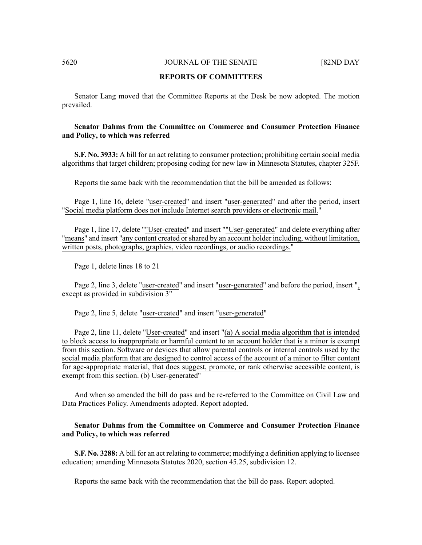#### **REPORTS OF COMMITTEES**

Senator Lang moved that the Committee Reports at the Desk be now adopted. The motion prevailed.

# **Senator Dahms from the Committee on Commerce and Consumer Protection Finance and Policy, to which was referred**

**S.F. No. 3933:** A bill for an act relating to consumer protection; prohibiting certain social media algorithms that target children; proposing coding for new law in Minnesota Statutes, chapter 325F.

Reports the same back with the recommendation that the bill be amended as follows:

Page 1, line 16, delete "user-created" and insert "user-generated" and after the period, insert "Social media platform does not include Internet search providers or electronic mail."

Page 1, line 17, delete ""User-created" and insert ""User-generated" and delete everything after "means" and insert "any content created orshared by an account holder including, without limitation, written posts, photographs, graphics, video recordings, or audio recordings."

Page 1, delete lines 18 to 21

Page 2, line 3, delete "user-created" and insert "user-generated" and before the period, insert ", except as provided in subdivision 3"

Page 2, line 5, delete "user-created" and insert "user-generated"

Page 2, line 11, delete "User-created" and insert "(a) A social media algorithm that is intended to block access to inappropriate or harmful content to an account holder that is a minor is exempt from this section. Software or devices that allow parental controls or internal controls used by the social media platform that are designed to control access of the account of a minor to filter content for age-appropriate material, that does suggest, promote, or rank otherwise accessible content, is exempt from this section. (b) User-generated"

And when so amended the bill do pass and be re-referred to the Committee on Civil Law and Data Practices Policy. Amendments adopted. Report adopted.

# **Senator Dahms from the Committee on Commerce and Consumer Protection Finance and Policy, to which was referred**

**S.F. No. 3288:** A bill for an act relating to commerce; modifying a definition applying to licensee education; amending Minnesota Statutes 2020, section 45.25, subdivision 12.

Reports the same back with the recommendation that the bill do pass. Report adopted.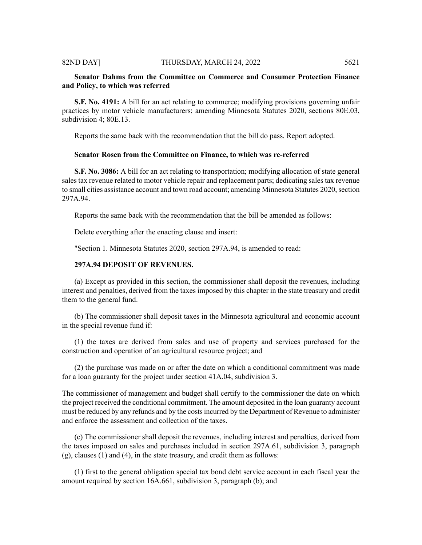# **Senator Dahms from the Committee on Commerce and Consumer Protection Finance and Policy, to which was referred**

**S.F. No. 4191:** A bill for an act relating to commerce; modifying provisions governing unfair practices by motor vehicle manufacturers; amending Minnesota Statutes 2020, sections 80E.03, subdivision 4; 80E.13.

Reports the same back with the recommendation that the bill do pass. Report adopted.

# **Senator Rosen from the Committee on Finance, to which was re-referred**

**S.F. No. 3086:** A bill for an act relating to transportation; modifying allocation of state general sales tax revenue related to motor vehicle repair and replacement parts; dedicating sales tax revenue to small cities assistance account and town road account; amending Minnesota Statutes 2020, section 297A.94.

Reports the same back with the recommendation that the bill be amended as follows:

Delete everything after the enacting clause and insert:

"Section 1. Minnesota Statutes 2020, section 297A.94, is amended to read:

# **297A.94 DEPOSIT OF REVENUES.**

(a) Except as provided in this section, the commissioner shall deposit the revenues, including interest and penalties, derived from the taxes imposed by this chapter in the state treasury and credit them to the general fund.

(b) The commissioner shall deposit taxes in the Minnesota agricultural and economic account in the special revenue fund if:

(1) the taxes are derived from sales and use of property and services purchased for the construction and operation of an agricultural resource project; and

(2) the purchase was made on or after the date on which a conditional commitment was made for a loan guaranty for the project under section 41A.04, subdivision 3.

The commissioner of management and budget shall certify to the commissioner the date on which the project received the conditional commitment. The amount deposited in the loan guaranty account must be reduced by any refunds and by the costsincurred by the Department of Revenue to administer and enforce the assessment and collection of the taxes.

(c) The commissioner shall deposit the revenues, including interest and penalties, derived from the taxes imposed on sales and purchases included in section 297A.61, subdivision 3, paragraph (g), clauses (1) and (4), in the state treasury, and credit them as follows:

(1) first to the general obligation special tax bond debt service account in each fiscal year the amount required by section 16A.661, subdivision 3, paragraph (b); and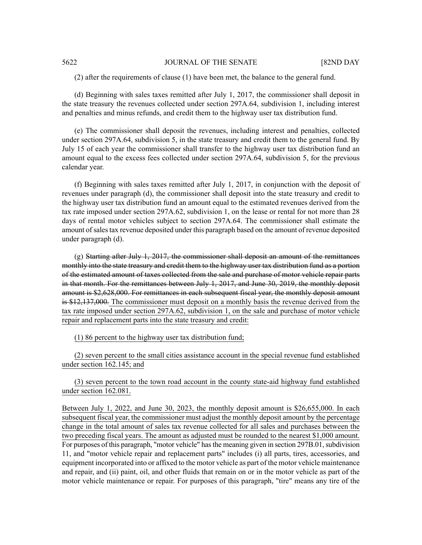(2) after the requirements of clause (1) have been met, the balance to the general fund.

(d) Beginning with sales taxes remitted after July 1, 2017, the commissioner shall deposit in the state treasury the revenues collected under section 297A.64, subdivision 1, including interest and penalties and minus refunds, and credit them to the highway user tax distribution fund.

(e) The commissioner shall deposit the revenues, including interest and penalties, collected under section 297A.64, subdivision 5, in the state treasury and credit them to the general fund. By July 15 of each year the commissioner shall transfer to the highway user tax distribution fund an amount equal to the excess fees collected under section 297A.64, subdivision 5, for the previous calendar year.

(f) Beginning with sales taxes remitted after July 1, 2017, in conjunction with the deposit of revenues under paragraph (d), the commissioner shall deposit into the state treasury and credit to the highway user tax distribution fund an amount equal to the estimated revenues derived from the tax rate imposed under section 297A.62, subdivision 1, on the lease or rental for not more than 28 days of rental motor vehicles subject to section 297A.64. The commissioner shall estimate the amount of sales tax revenue deposited under this paragraph based on the amount of revenue deposited under paragraph (d).

 $(g)$  Starting after July 1, 2017, the commissioner shall deposit an amount of the remittances monthly into the state treasury and credit them to the highway user tax distribution fund as a portion of the estimated amount of taxes collected from the sale and purchase of motor vehicle repair parts in that month. For the remittances between July 1, 2017, and June 30, 2019, the monthly deposit amount is \$2,628,000. For remittances in each subsequent fiscal year, the monthly deposit amount is \$12,137,000. The commissioner must deposit on a monthly basis the revenue derived from the tax rate imposed under section 297A.62, subdivision 1, on the sale and purchase of motor vehicle repair and replacement parts into the state treasury and credit:

(1) 86 percent to the highway user tax distribution fund;

(2) seven percent to the small cities assistance account in the special revenue fund established under section 162.145; and

(3) seven percent to the town road account in the county state-aid highway fund established under section 162.081.

Between July 1, 2022, and June 30, 2023, the monthly deposit amount is \$26,655,000. In each subsequent fiscal year, the commissioner must adjust the monthly deposit amount by the percentage change in the total amount of sales tax revenue collected for all sales and purchases between the two preceding fiscal years. The amount as adjusted must be rounded to the nearest \$1,000 amount. For purposes of this paragraph, "motor vehicle" has the meaning given in section 297B.01, subdivision 11, and "motor vehicle repair and replacement parts" includes (i) all parts, tires, accessories, and equipment incorporated into or affixed to the motor vehicle as part of the motor vehicle maintenance and repair, and (ii) paint, oil, and other fluids that remain on or in the motor vehicle as part of the motor vehicle maintenance or repair. For purposes of this paragraph, "tire" means any tire of the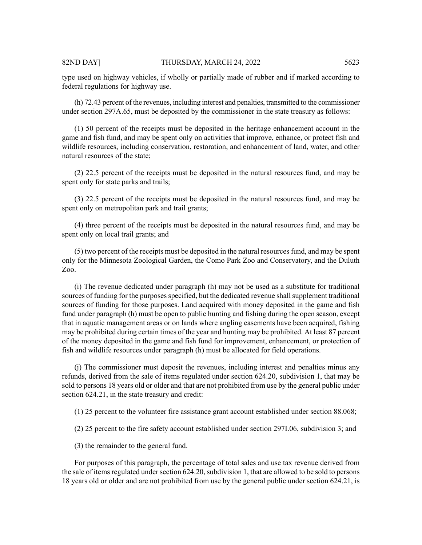type used on highway vehicles, if wholly or partially made of rubber and if marked according to federal regulations for highway use.

(h) 72.43 percent of the revenues, including interest and penalties, transmitted to the commissioner under section 297A.65, must be deposited by the commissioner in the state treasury as follows:

(1) 50 percent of the receipts must be deposited in the heritage enhancement account in the game and fish fund, and may be spent only on activities that improve, enhance, or protect fish and wildlife resources, including conservation, restoration, and enhancement of land, water, and other natural resources of the state;

(2) 22.5 percent of the receipts must be deposited in the natural resources fund, and may be spent only for state parks and trails;

(3) 22.5 percent of the receipts must be deposited in the natural resources fund, and may be spent only on metropolitan park and trail grants;

(4) three percent of the receipts must be deposited in the natural resources fund, and may be spent only on local trail grants; and

(5) two percent of the receipts must be deposited in the natural resources fund, and may be spent only for the Minnesota Zoological Garden, the Como Park Zoo and Conservatory, and the Duluth Zoo.

(i) The revenue dedicated under paragraph (h) may not be used as a substitute for traditional sources of funding for the purposes specified, but the dedicated revenue shall supplement traditional sources of funding for those purposes. Land acquired with money deposited in the game and fish fund under paragraph (h) must be open to public hunting and fishing during the open season, except that in aquatic management areas or on lands where angling easements have been acquired, fishing may be prohibited during certain times of the year and hunting may be prohibited. At least 87 percent of the money deposited in the game and fish fund for improvement, enhancement, or protection of fish and wildlife resources under paragraph (h) must be allocated for field operations.

(j) The commissioner must deposit the revenues, including interest and penalties minus any refunds, derived from the sale of items regulated under section 624.20, subdivision 1, that may be sold to persons 18 years old or older and that are not prohibited from use by the general public under section 624.21, in the state treasury and credit:

(1) 25 percent to the volunteer fire assistance grant account established under section 88.068;

(2) 25 percent to the fire safety account established under section 297I.06, subdivision 3; and

(3) the remainder to the general fund.

For purposes of this paragraph, the percentage of total sales and use tax revenue derived from the sale of items regulated under section 624.20, subdivision 1, that are allowed to be sold to persons 18 years old or older and are not prohibited from use by the general public under section 624.21, is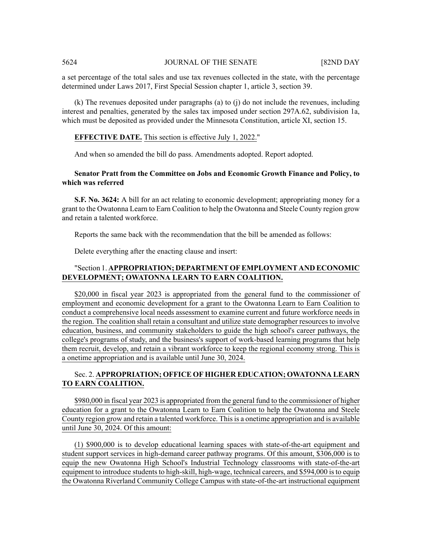a set percentage of the total sales and use tax revenues collected in the state, with the percentage determined under Laws 2017, First Special Session chapter 1, article 3, section 39.

(k) The revenues deposited under paragraphs (a) to (j) do not include the revenues, including interest and penalties, generated by the sales tax imposed under section 297A.62, subdivision 1a, which must be deposited as provided under the Minnesota Constitution, article XI, section 15.

# **EFFECTIVE DATE.** This section is effective July 1, 2022."

And when so amended the bill do pass. Amendments adopted. Report adopted.

# **Senator Pratt from the Committee on Jobs and Economic Growth Finance and Policy, to which was referred**

**S.F. No. 3624:** A bill for an act relating to economic development; appropriating money for a grant to the Owatonna Learn to Earn Coalition to help the Owatonna and Steele County region grow and retain a talented workforce.

Reports the same back with the recommendation that the bill be amended as follows:

Delete everything after the enacting clause and insert:

# "Section 1. **APPROPRIATION; DEPARTMENT OFEMPLOYMENT AND ECONOMIC DEVELOPMENT; OWATONNA LEARN TO EARN COALITION.**

\$20,000 in fiscal year 2023 is appropriated from the general fund to the commissioner of employment and economic development for a grant to the Owatonna Learn to Earn Coalition to conduct a comprehensive local needs assessment to examine current and future workforce needs in the region. The coalition shall retain a consultant and utilize state demographer resources to involve education, business, and community stakeholders to guide the high school's career pathways, the college's programs of study, and the business's support of work-based learning programs that help them recruit, develop, and retain a vibrant workforce to keep the regional economy strong. This is a onetime appropriation and is available until June 30, 2024.

# Sec. 2. **APPROPRIATION; OFFICE OF HIGHER EDUCATION; OWATONNA LEARN TO EARN COALITION.**

\$980,000 in fiscal year 2023 is appropriated from the general fund to the commissioner of higher education for a grant to the Owatonna Learn to Earn Coalition to help the Owatonna and Steele County region grow and retain a talented workforce. This is a onetime appropriation and is available until June 30, 2024. Of this amount:

(1) \$900,000 is to develop educational learning spaces with state-of-the-art equipment and student support services in high-demand career pathway programs. Of this amount, \$306,000 is to equip the new Owatonna High School's Industrial Technology classrooms with state-of-the-art equipment to introduce students to high-skill, high-wage, technical careers, and \$594,000 is to equip the Owatonna Riverland Community College Campus with state-of-the-art instructional equipment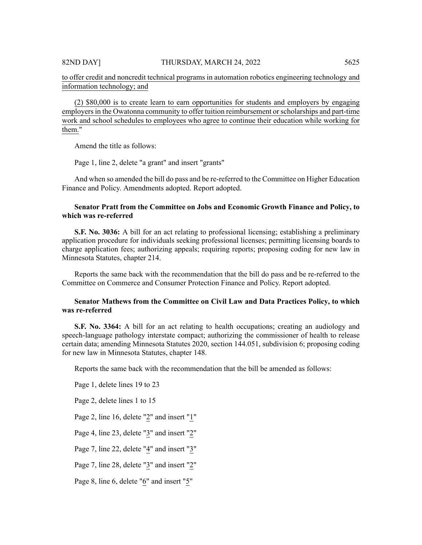to offer credit and noncredit technical programs in automation robotics engineering technology and information technology; and

(2) \$80,000 is to create learn to earn opportunities for students and employers by engaging employers in the Owatonna community to offer tuition reimbursement or scholarships and part-time work and school schedules to employees who agree to continue their education while working for them."

Amend the title as follows:

Page 1, line 2, delete "a grant" and insert "grants"

And when so amended the bill do pass and be re-referred to the Committee on Higher Education Finance and Policy. Amendments adopted. Report adopted.

# **Senator Pratt from the Committee on Jobs and Economic Growth Finance and Policy, to which was re-referred**

**S.F. No. 3036:** A bill for an act relating to professional licensing; establishing a preliminary application procedure for individuals seeking professional licenses; permitting licensing boards to charge application fees; authorizing appeals; requiring reports; proposing coding for new law in Minnesota Statutes, chapter 214.

Reports the same back with the recommendation that the bill do pass and be re-referred to the Committee on Commerce and Consumer Protection Finance and Policy. Report adopted.

# **Senator Mathews from the Committee on Civil Law and Data Practices Policy, to which was re-referred**

**S.F. No. 3364:** A bill for an act relating to health occupations; creating an audiology and speech-language pathology interstate compact; authorizing the commissioner of health to release certain data; amending Minnesota Statutes 2020, section 144.051, subdivision 6; proposing coding for new law in Minnesota Statutes, chapter 148.

Reports the same back with the recommendation that the bill be amended as follows:

Page 1, delete lines 19 to 23

Page 2, delete lines 1 to 15

Page 2, line 16, delete "2" and insert "1"

Page 4, line 23, delete "3" and insert "2"

Page 7, line 22, delete "4" and insert "3"

Page 7, line 28, delete "3" and insert "2"

Page 8, line 6, delete "6" and insert "5"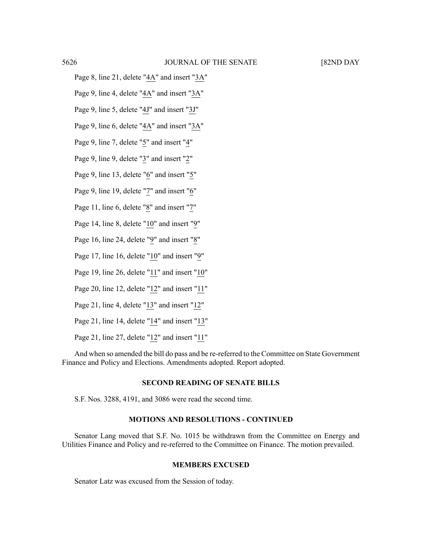- Page 8, line 21, delete "4A" and insert "3A"
- Page 9, line 4, delete "4A" and insert "3A"
- Page 9, line 5, delete "4J" and insert "3J"
- Page 9, line 6, delete "4A" and insert "3A"
- Page 9, line 7, delete "5" and insert "4"
- Page 9, line 9, delete "3" and insert "2"
- Page 9, line 13, delete "6" and insert "5"
- Page 9, line 19, delete "7" and insert "6"
- Page 11, line 6, delete "8" and insert "7"
- Page 14, line 8, delete "10" and insert "9"
- Page 16, line 24, delete "9" and insert "8"
- Page 17, line 16, delete " $10$ " and insert "9"
- Page 19, line 26, delete "11" and insert "10"
- Page 20, line 12, delete "12" and insert "11"
- Page 21, line 4, delete " $13$ " and insert " $12$ "
- Page 21, line 14, delete "14" and insert "13"
- Page 21, line 27, delete " $12$ " and insert " $11$ "

And when so amended the bill do pass and be re-referred to the Committee on State Government Finance and Policy and Elections. Amendments adopted. Report adopted.

# **SECOND READING OF SENATE BILLS**

S.F. Nos. 3288, 4191, and 3086 were read the second time.

# **MOTIONS AND RESOLUTIONS - CONTINUED**

Senator Lang moved that S.F. No. 1015 be withdrawn from the Committee on Energy and Utilities Finance and Policy and re-referred to the Committee on Finance. The motion prevailed.

#### **MEMBERS EXCUSED**

Senator Latz was excused from the Session of today.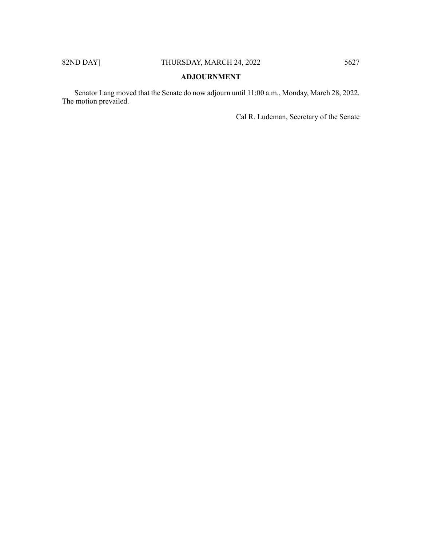# **ADJOURNMENT**

Senator Lang moved that the Senate do now adjourn until 11:00 a.m., Monday, March 28, 2022. The motion prevailed.

Cal R. Ludeman, Secretary of the Senate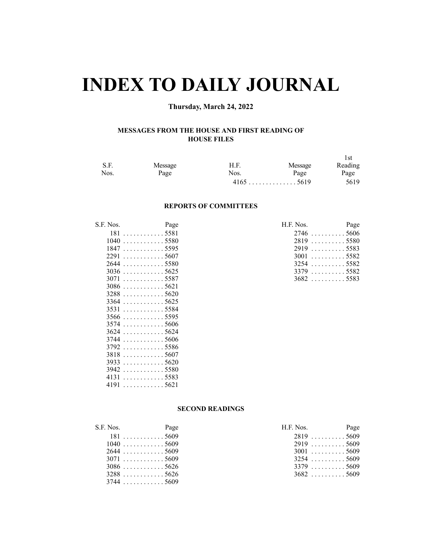# **INDEX TO DAILY JOURNAL**

# **Thursday, March 24, 2022**

# **MESSAGES FROM THE HOUSE AND FIRST READING OF HOUSE FILES**

|      |         |      |                                         | l st    |
|------|---------|------|-----------------------------------------|---------|
| S.F. | Message | H.F. | Message                                 | Reading |
| Nos. | Page    | Nos. | Page                                    | Page    |
|      |         |      | $4165 \ldots \ldots \ldots \ldots 5619$ | 5619    |

#### **REPORTS OF COMMITTEES**

| S.F. Nos. | Page                                   | H.F. Nos.   | Page   |
|-----------|----------------------------------------|-------------|--------|
|           | $181 \ldots \ldots \ldots \ldots 5581$ | $2746$ 5606 |        |
| 1040      | . 5580                                 | 2819        | . 5580 |
|           | 18475595                               | $2919$ 5583 |        |
|           | $2291$ 5607                            | $3001$ 5582 |        |
| 2644      | . 5580                                 | $3254$ 5582 |        |
|           | $3036$ 5625                            | 3379 5582   |        |
|           | $3071$ 5587                            | $3682$ 5583 |        |
|           | $3086$ 5621                            |             |        |
|           | $3288 \ldots \ldots \ldots 5620$       |             |        |
|           | $3364$ 5625                            |             |        |
|           | 35315584                               |             |        |
|           | $3566$ 5595                            |             |        |
|           | $3574$ 5606                            |             |        |
|           | $3624$ 5624                            |             |        |
|           | $3744$ 5606                            |             |        |
|           | $3792$ 5586                            |             |        |
|           | $3818$ 5607                            |             |        |
|           |                                        |             |        |
|           | $3942$ 5580                            |             |        |
| 4131      | . 5583                                 |             |        |
|           | 4191 5621                              |             |        |

| INOS.<br>rage                    | T.F. NOS. Page |  |
|----------------------------------|----------------|--|
| 1815581                          | $2746$ 5606    |  |
| $1040$ 5580                      | 28195580       |  |
| $1847 \ldots \ldots \ldots 5595$ | 29195583       |  |
| 2291 5607 .                      | $3001$ 5582    |  |
| 2644 5580 .                      | $3254$ 5582    |  |
| 3036 5625                        | $3379$ 5582    |  |
| 3071 5587                        | 36825583       |  |

# **SECOND READINGS**

| S.F. Nos. | Page        | H.F. Nos.   | Page |
|-----------|-------------|-------------|------|
|           | 1815609     | $2819$ 5609 |      |
|           | $1040$ 5609 | $2919$ 5609 |      |
|           | $2644$ 5609 | $3001$ 5609 |      |
|           | 3071 5609   | 32545609    |      |
|           | $3086$ 5626 | $3379$ 5609 |      |
|           | 32885626    | $3682$ 5609 |      |
|           | $3744$ 5609 |             |      |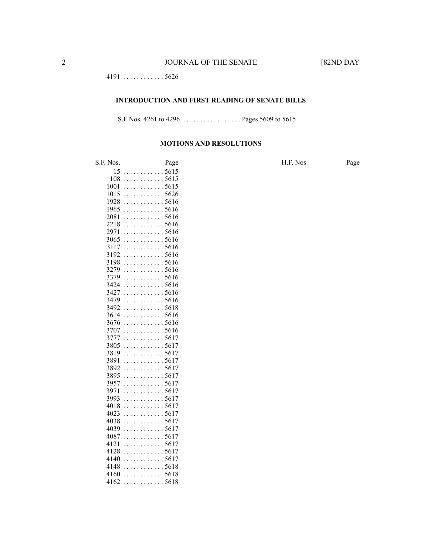. . . . . . . . . . . . 5626

#### **INTRODUCTION AND FIRST READING OF SENATE BILLS**

S.F Nos. 4261 to 4296 . . . . . . . . . . . . . . . . . Pages 5609 to 5615

#### **MOTIONS AND RESOLUTIONS**

S.F. Nos. Page H.F. Nos. Page . . . . . . . . . . . . 5615 . . . . . . . . . . . . 5615 . . . . . . . . . . . . 5615 . . . . . . . . . . . . 5626 . . . . . . . . . . . . 5616  $1965...$  . . . . . . . . . . . 5616 . . . . . . . . . . . . 5616 . . . . . . . . . . . . 5616 . . . . . . . . . . . . 5616 . . . . . . . . . . . . 5616 . . . . . . . . . . . . 5616 . . . . . . . . . . . . 5616 . . . . . . . . . . . . 5616 . . . . . . . . . . . . 5616 . . . . . . . . . . . . 5616 . . . . . . . . . . . . 5616 . . . . . . . . . . . . 5616 . . . . . . . . . . . . 5616 . . . . . . . . . . . . 5618 . . . . . . . . . . . . 5616 . . . . . . . . . . . . 5616 . . . . . . . . . . . . 5616 . . . . . . . . . . . . 5617 . . . . . . . . . . . . 5617 . . . . . . . . . . . . 5617 . . . . . . . . . . . . 5617 . . . . . . . . . . . . 5617 . . . . . . . . . . . . 5617 . . . . . . . . . . . . 5617 . . . . . . . . . . . . 5617 . . . . . . . . . . . . 5617 . . . . . . . . . . . . 5617 . . . . . . . . . . . . 5617 . . . . . . . . . . . . 5617 . . . . . . . . . . . . 5617 . . . . . . . . . . . . 5617 . . . . . . . . . . . . 5617 . . . . . . . . . . . . 5617 . . . . . . . . . . . . 5617 . . . . . . . . . . . . 5618 . . . . . . . . . . . . 5618 . . . . . . . . . . . . 5618